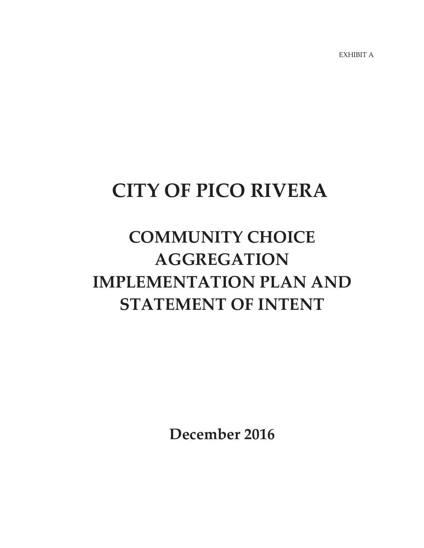EXHIBIT A

# **CITY OF PICO RIVERA**

# **COMMUNITY CHOICE AGGREGATION IMPLEMENTATION PLAN AND STATEMENT OF INTENT**

**December 2016**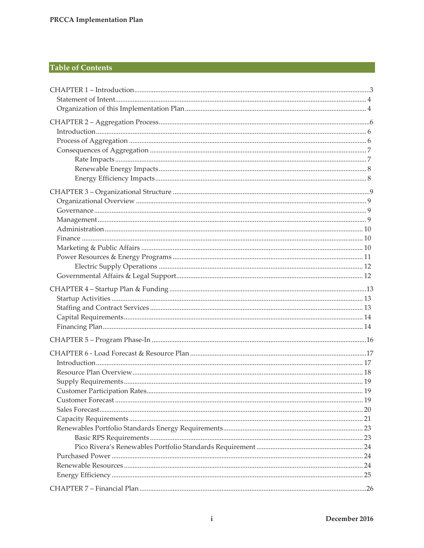# **Table of Contents**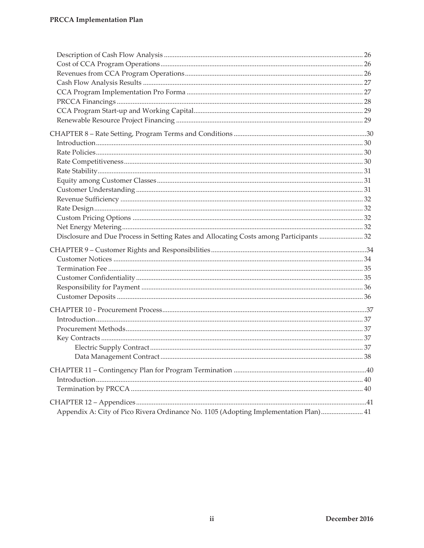| Disclosure and Due Process in Setting Rates and Allocating Costs among Participants  32 |  |
|-----------------------------------------------------------------------------------------|--|
|                                                                                         |  |
|                                                                                         |  |
|                                                                                         |  |
|                                                                                         |  |
|                                                                                         |  |
|                                                                                         |  |
|                                                                                         |  |
|                                                                                         |  |
|                                                                                         |  |
|                                                                                         |  |
|                                                                                         |  |
|                                                                                         |  |
|                                                                                         |  |
|                                                                                         |  |
|                                                                                         |  |
|                                                                                         |  |
| Appendix A: City of Pico Rivera Ordinance No. 1105 (Adopting Implementation Plan) 41    |  |
|                                                                                         |  |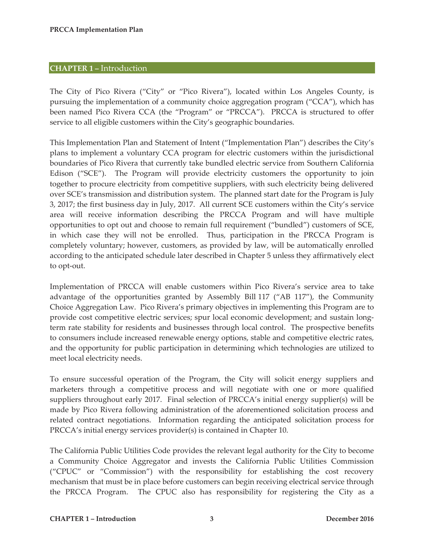#### **CHAPTER 1 –** Introduction

The City of Pico Rivera ("City" or "Pico Rivera"), located within Los Angeles County, is pursuing the implementation of a community choice aggregation program ("CCA"), which has been named Pico Rivera CCA (the "Program" or "PRCCA"). PRCCA is structured to offer service to all eligible customers within the City's geographic boundaries.

This Implementation Plan and Statement of Intent ("Implementation Plan") describes the City's plans to implement a voluntary CCA program for electric customers within the jurisdictional boundaries of Pico Rivera that currently take bundled electric service from Southern California Edison ("SCE"). The Program will provide electricity customers the opportunity to join together to procure electricity from competitive suppliers, with such electricity being delivered over SCE's transmission and distribution system. The planned start date for the Program is July 3, 2017; the first business day in July, 2017. All current SCE customers within the City's service area will receive information describing the PRCCA Program and will have multiple opportunities to opt out and choose to remain full requirement ("bundled") customers of SCE, in which case they will not be enrolled. Thus, participation in the PRCCA Program is completely voluntary; however, customers, as provided by law, will be automatically enrolled according to the anticipated schedule later described in Chapter 5 unless they affirmatively elect to opt-out.

Implementation of PRCCA will enable customers within Pico Rivera's service area to take advantage of the opportunities granted by Assembly Bill 117 ("AB 117"), the Community Choice Aggregation Law. Pico Rivera's primary objectives in implementing this Program are to provide cost competitive electric services; spur local economic development; and sustain longterm rate stability for residents and businesses through local control. The prospective benefits to consumers include increased renewable energy options, stable and competitive electric rates, and the opportunity for public participation in determining which technologies are utilized to meet local electricity needs.

To ensure successful operation of the Program, the City will solicit energy suppliers and marketers through a competitive process and will negotiate with one or more qualified suppliers throughout early 2017. Final selection of PRCCA's initial energy supplier(s) will be made by Pico Rivera following administration of the aforementioned solicitation process and related contract negotiations. Information regarding the anticipated solicitation process for PRCCA's initial energy services provider(s) is contained in Chapter 10.

The California Public Utilities Code provides the relevant legal authority for the City to become a Community Choice Aggregator and invests the California Public Utilities Commission ("CPUC" or "Commission") with the responsibility for establishing the cost recovery mechanism that must be in place before customers can begin receiving electrical service through the PRCCA Program. The CPUC also has responsibility for registering the City as a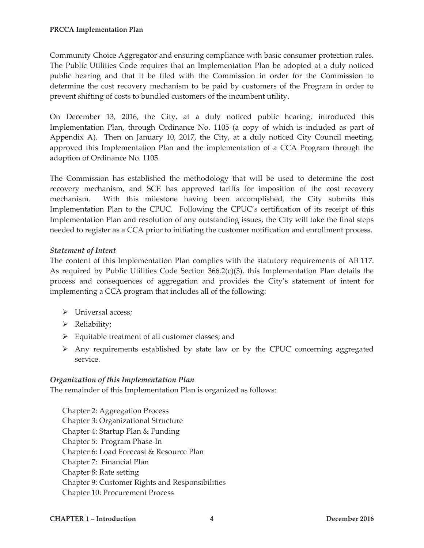Community Choice Aggregator and ensuring compliance with basic consumer protection rules. The Public Utilities Code requires that an Implementation Plan be adopted at a duly noticed public hearing and that it be filed with the Commission in order for the Commission to determine the cost recovery mechanism to be paid by customers of the Program in order to prevent shifting of costs to bundled customers of the incumbent utility.

On December 13, 2016, the City, at a duly noticed public hearing, introduced this Implementation Plan, through Ordinance No. 1105 (a copy of which is included as part of Appendix A). Then on January 10, 2017, the City, at a duly noticed City Council meeting, approved this Implementation Plan and the implementation of a CCA Program through the adoption of Ordinance No. 1105.

The Commission has established the methodology that will be used to determine the cost recovery mechanism, and SCE has approved tariffs for imposition of the cost recovery mechanism. With this milestone having been accomplished, the City submits this Implementation Plan to the CPUC. Following the CPUC's certification of its receipt of this Implementation Plan and resolution of any outstanding issues, the City will take the final steps needed to register as a CCA prior to initiating the customer notification and enrollment process.

# *Statement of Intent*

The content of this Implementation Plan complies with the statutory requirements of AB 117. As required by Public Utilities Code Section 366.2(c)(3), this Implementation Plan details the process and consequences of aggregation and provides the City's statement of intent for implementing a CCA program that includes all of the following:

- ¾ Universal access;
- ¾ Reliability;
- $\triangleright$  Equitable treatment of all customer classes; and
- $\triangleright$  Any requirements established by state law or by the CPUC concerning aggregated service.

# *Organization of this Implementation Plan*

The remainder of this Implementation Plan is organized as follows:

Chapter 2: Aggregation Process Chapter 3: Organizational Structure Chapter 4: Startup Plan & Funding Chapter 5: Program Phase-In Chapter 6: Load Forecast & Resource Plan Chapter 7: Financial Plan Chapter 8: Rate setting Chapter 9: Customer Rights and Responsibilities Chapter 10: Procurement Process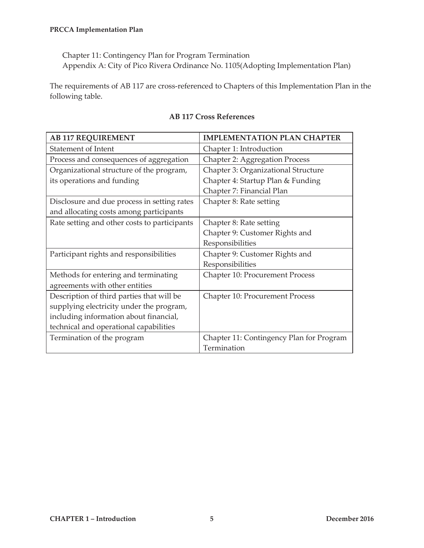Chapter 11: Contingency Plan for Program Termination Appendix A: City of Pico Rivera Ordinance No. 1105(Adopting Implementation Plan)

The requirements of AB 117 are cross-referenced to Chapters of this Implementation Plan in the following table.

| <b>AB 117 REQUIREMENT</b>                    | <b>IMPLEMENTATION PLAN CHAPTER</b>       |
|----------------------------------------------|------------------------------------------|
| <b>Statement of Intent</b>                   | Chapter 1: Introduction                  |
| Process and consequences of aggregation      | <b>Chapter 2: Aggregation Process</b>    |
| Organizational structure of the program,     | Chapter 3: Organizational Structure      |
| its operations and funding                   | Chapter 4: Startup Plan & Funding        |
|                                              | Chapter 7: Financial Plan                |
| Disclosure and due process in setting rates  | Chapter 8: Rate setting                  |
| and allocating costs among participants      |                                          |
| Rate setting and other costs to participants | Chapter 8: Rate setting                  |
|                                              | Chapter 9: Customer Rights and           |
|                                              | Responsibilities                         |
| Participant rights and responsibilities      | Chapter 9: Customer Rights and           |
|                                              | Responsibilities                         |
| Methods for entering and terminating         | <b>Chapter 10: Procurement Process</b>   |
| agreements with other entities               |                                          |
| Description of third parties that will be    | Chapter 10: Procurement Process          |
| supplying electricity under the program,     |                                          |
| including information about financial,       |                                          |
| technical and operational capabilities       |                                          |
| Termination of the program                   | Chapter 11: Contingency Plan for Program |
|                                              | Termination                              |

# **AB 117 Cross References**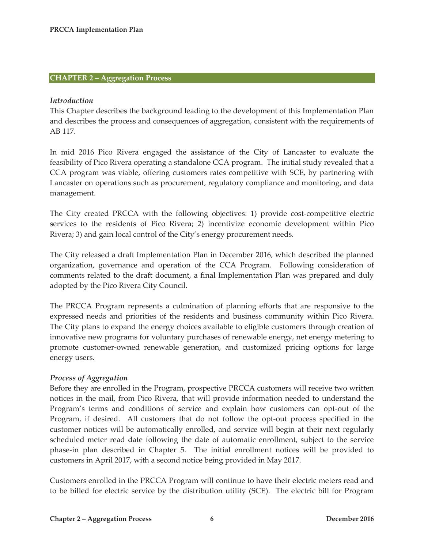#### **CHAPTER 2 – Aggregation Process**

#### *Introduction*

This Chapter describes the background leading to the development of this Implementation Plan and describes the process and consequences of aggregation, consistent with the requirements of AB 117.

In mid 2016 Pico Rivera engaged the assistance of the City of Lancaster to evaluate the feasibility of Pico Rivera operating a standalone CCA program. The initial study revealed that a CCA program was viable, offering customers rates competitive with SCE, by partnering with Lancaster on operations such as procurement, regulatory compliance and monitoring, and data management.

The City created PRCCA with the following objectives: 1) provide cost-competitive electric services to the residents of Pico Rivera; 2) incentivize economic development within Pico Rivera; 3) and gain local control of the City's energy procurement needs.

The City released a draft Implementation Plan in December 2016, which described the planned organization, governance and operation of the CCA Program. Following consideration of comments related to the draft document, a final Implementation Plan was prepared and duly adopted by the Pico Rivera City Council.

The PRCCA Program represents a culmination of planning efforts that are responsive to the expressed needs and priorities of the residents and business community within Pico Rivera. The City plans to expand the energy choices available to eligible customers through creation of innovative new programs for voluntary purchases of renewable energy, net energy metering to promote customer-owned renewable generation, and customized pricing options for large energy users.

#### *Process of Aggregation*

Before they are enrolled in the Program, prospective PRCCA customers will receive two written notices in the mail, from Pico Rivera, that will provide information needed to understand the Program's terms and conditions of service and explain how customers can opt-out of the Program, if desired. All customers that do not follow the opt-out process specified in the customer notices will be automatically enrolled, and service will begin at their next regularly scheduled meter read date following the date of automatic enrollment, subject to the service phase-in plan described in Chapter 5. The initial enrollment notices will be provided to customers in April 2017, with a second notice being provided in May 2017.

Customers enrolled in the PRCCA Program will continue to have their electric meters read and to be billed for electric service by the distribution utility (SCE). The electric bill for Program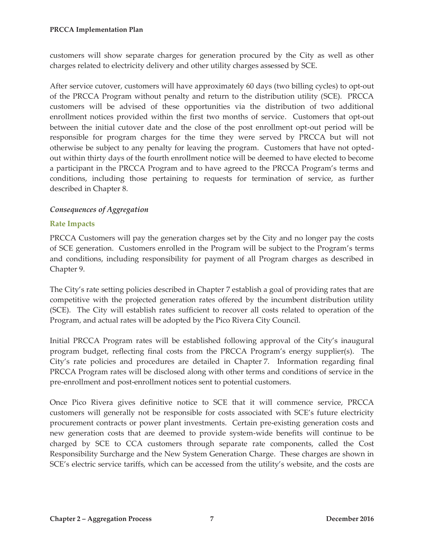customers will show separate charges for generation procured by the City as well as other charges related to electricity delivery and other utility charges assessed by SCE.

After service cutover, customers will have approximately 60 days (two billing cycles) to opt-out of the PRCCA Program without penalty and return to the distribution utility (SCE). PRCCA customers will be advised of these opportunities via the distribution of two additional enrollment notices provided within the first two months of service. Customers that opt-out between the initial cutover date and the close of the post enrollment opt-out period will be responsible for program charges for the time they were served by PRCCA but will not otherwise be subject to any penalty for leaving the program. Customers that have not optedout within thirty days of the fourth enrollment notice will be deemed to have elected to become a participant in the PRCCA Program and to have agreed to the PRCCA Program's terms and conditions, including those pertaining to requests for termination of service, as further described in Chapter 8.

# *Consequences of Aggregation*

# **Rate Impacts**

PRCCA Customers will pay the generation charges set by the City and no longer pay the costs of SCE generation. Customers enrolled in the Program will be subject to the Program's terms and conditions, including responsibility for payment of all Program charges as described in Chapter 9.

The City's rate setting policies described in Chapter 7 establish a goal of providing rates that are competitive with the projected generation rates offered by the incumbent distribution utility (SCE). The City will establish rates sufficient to recover all costs related to operation of the Program, and actual rates will be adopted by the Pico Rivera City Council.

Initial PRCCA Program rates will be established following approval of the City's inaugural program budget, reflecting final costs from the PRCCA Program's energy supplier(s). The City's rate policies and procedures are detailed in Chapter 7. Information regarding final PRCCA Program rates will be disclosed along with other terms and conditions of service in the pre-enrollment and post-enrollment notices sent to potential customers.

Once Pico Rivera gives definitive notice to SCE that it will commence service, PRCCA customers will generally not be responsible for costs associated with SCE's future electricity procurement contracts or power plant investments. Certain pre-existing generation costs and new generation costs that are deemed to provide system-wide benefits will continue to be charged by SCE to CCA customers through separate rate components, called the Cost Responsibility Surcharge and the New System Generation Charge. These charges are shown in SCE's electric service tariffs, which can be accessed from the utility's website, and the costs are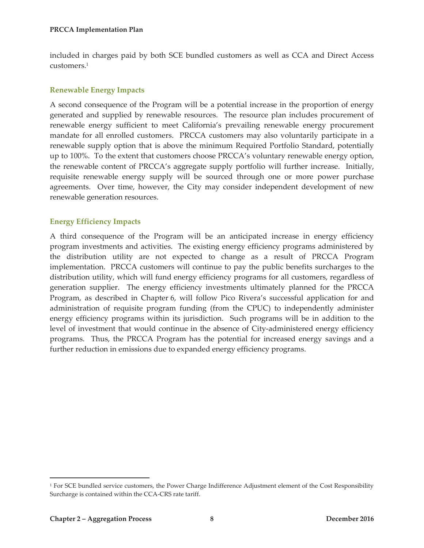included in charges paid by both SCE bundled customers as well as CCA and Direct Access customers.1

#### **Renewable Energy Impacts**

A second consequence of the Program will be a potential increase in the proportion of energy generated and supplied by renewable resources. The resource plan includes procurement of renewable energy sufficient to meet California's prevailing renewable energy procurement mandate for all enrolled customers. PRCCA customers may also voluntarily participate in a renewable supply option that is above the minimum Required Portfolio Standard, potentially up to 100%. To the extent that customers choose PRCCA's voluntary renewable energy option, the renewable content of PRCCA's aggregate supply portfolio will further increase. Initially, requisite renewable energy supply will be sourced through one or more power purchase agreements. Over time, however, the City may consider independent development of new renewable generation resources.

#### **Energy Efficiency Impacts**

A third consequence of the Program will be an anticipated increase in energy efficiency program investments and activities. The existing energy efficiency programs administered by the distribution utility are not expected to change as a result of PRCCA Program implementation. PRCCA customers will continue to pay the public benefits surcharges to the distribution utility, which will fund energy efficiency programs for all customers, regardless of generation supplier. The energy efficiency investments ultimately planned for the PRCCA Program, as described in Chapter 6, will follow Pico Rivera's successful application for and administration of requisite program funding (from the CPUC) to independently administer energy efficiency programs within its jurisdiction. Such programs will be in addition to the level of investment that would continue in the absence of City-administered energy efficiency programs. Thus, the PRCCA Program has the potential for increased energy savings and a further reduction in emissions due to expanded energy efficiency programs.

 $\overline{a}$ 

<sup>&</sup>lt;sup>1</sup> For SCE bundled service customers, the Power Charge Indifference Adjustment element of the Cost Responsibility Surcharge is contained within the CCA-CRS rate tariff.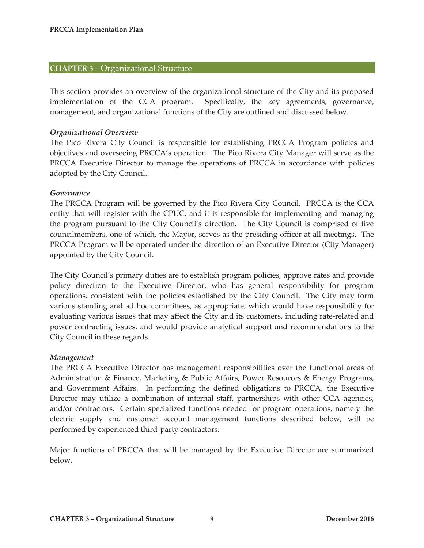#### **CHAPTER 3 –** Organizational Structure

This section provides an overview of the organizational structure of the City and its proposed implementation of the CCA program. Specifically, the key agreements, governance, management, and organizational functions of the City are outlined and discussed below.

#### *Organizational Overview*

The Pico Rivera City Council is responsible for establishing PRCCA Program policies and objectives and overseeing PRCCA's operation. The Pico Rivera City Manager will serve as the PRCCA Executive Director to manage the operations of PRCCA in accordance with policies adopted by the City Council.

#### *Governance*

The PRCCA Program will be governed by the Pico Rivera City Council. PRCCA is the CCA entity that will register with the CPUC, and it is responsible for implementing and managing the program pursuant to the City Council's direction. The City Council is comprised of five councilmembers, one of which, the Mayor, serves as the presiding officer at all meetings. The PRCCA Program will be operated under the direction of an Executive Director (City Manager) appointed by the City Council.

The City Council's primary duties are to establish program policies, approve rates and provide policy direction to the Executive Director, who has general responsibility for program operations, consistent with the policies established by the City Council. The City may form various standing and ad hoc committees, as appropriate, which would have responsibility for evaluating various issues that may affect the City and its customers, including rate-related and power contracting issues, and would provide analytical support and recommendations to the City Council in these regards.

#### *Management*

The PRCCA Executive Director has management responsibilities over the functional areas of Administration & Finance, Marketing & Public Affairs, Power Resources & Energy Programs, and Government Affairs. In performing the defined obligations to PRCCA, the Executive Director may utilize a combination of internal staff, partnerships with other CCA agencies, and/or contractors. Certain specialized functions needed for program operations, namely the electric supply and customer account management functions described below, will be performed by experienced third-party contractors.

Major functions of PRCCA that will be managed by the Executive Director are summarized below.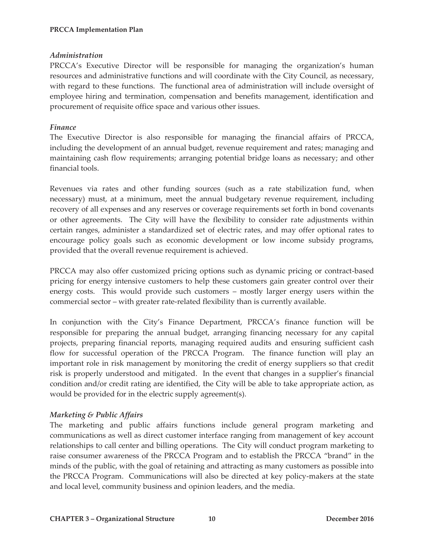# *Administration*

PRCCA's Executive Director will be responsible for managing the organization's human resources and administrative functions and will coordinate with the City Council, as necessary, with regard to these functions. The functional area of administration will include oversight of employee hiring and termination, compensation and benefits management, identification and procurement of requisite office space and various other issues.

# *Finance*

The Executive Director is also responsible for managing the financial affairs of PRCCA, including the development of an annual budget, revenue requirement and rates; managing and maintaining cash flow requirements; arranging potential bridge loans as necessary; and other financial tools.

Revenues via rates and other funding sources (such as a rate stabilization fund, when necessary) must, at a minimum, meet the annual budgetary revenue requirement, including recovery of all expenses and any reserves or coverage requirements set forth in bond covenants or other agreements. The City will have the flexibility to consider rate adjustments within certain ranges, administer a standardized set of electric rates, and may offer optional rates to encourage policy goals such as economic development or low income subsidy programs, provided that the overall revenue requirement is achieved.

PRCCA may also offer customized pricing options such as dynamic pricing or contract-based pricing for energy intensive customers to help these customers gain greater control over their energy costs. This would provide such customers – mostly larger energy users within the commercial sector – with greater rate-related flexibility than is currently available.

In conjunction with the City's Finance Department, PRCCA's finance function will be responsible for preparing the annual budget, arranging financing necessary for any capital projects, preparing financial reports, managing required audits and ensuring sufficient cash flow for successful operation of the PRCCA Program. The finance function will play an important role in risk management by monitoring the credit of energy suppliers so that credit risk is properly understood and mitigated. In the event that changes in a supplier's financial condition and/or credit rating are identified, the City will be able to take appropriate action, as would be provided for in the electric supply agreement(s).

# *Marketing & Public Affairs*

The marketing and public affairs functions include general program marketing and communications as well as direct customer interface ranging from management of key account relationships to call center and billing operations. The City will conduct program marketing to raise consumer awareness of the PRCCA Program and to establish the PRCCA "brand" in the minds of the public, with the goal of retaining and attracting as many customers as possible into the PRCCA Program. Communications will also be directed at key policy-makers at the state and local level, community business and opinion leaders, and the media.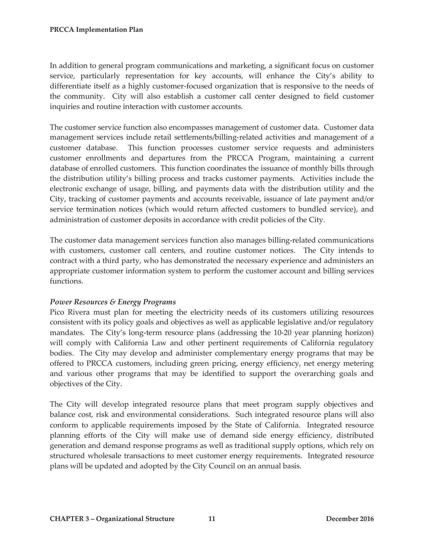In addition to general program communications and marketing, a significant focus on customer service, particularly representation for key accounts, will enhance the City's ability to differentiate itself as a highly customer-focused organization that is responsive to the needs of the community. City will also establish a customer call center designed to field customer inquiries and routine interaction with customer accounts.

The customer service function also encompasses management of customer data. Customer data management services include retail settlements/billing-related activities and management of a customer database. This function processes customer service requests and administers customer enrollments and departures from the PRCCA Program, maintaining a current database of enrolled customers. This function coordinates the issuance of monthly bills through the distribution utility's billing process and tracks customer payments. Activities include the electronic exchange of usage, billing, and payments data with the distribution utility and the City, tracking of customer payments and accounts receivable, issuance of late payment and/or service termination notices (which would return affected customers to bundled service), and administration of customer deposits in accordance with credit policies of the City.

The customer data management services function also manages billing-related communications with customers, customer call centers, and routine customer notices. The City intends to contract with a third party, who has demonstrated the necessary experience and administers an appropriate customer information system to perform the customer account and billing services functions.

#### *Power Resources & Energy Programs*

Pico Rivera must plan for meeting the electricity needs of its customers utilizing resources consistent with its policy goals and objectives as well as applicable legislative and/or regulatory mandates. The City's long-term resource plans (addressing the 10-20 year planning horizon) will comply with California Law and other pertinent requirements of California regulatory bodies. The City may develop and administer complementary energy programs that may be offered to PRCCA customers, including green pricing, energy efficiency, net energy metering and various other programs that may be identified to support the overarching goals and objectives of the City.

The City will develop integrated resource plans that meet program supply objectives and balance cost, risk and environmental considerations. Such integrated resource plans will also conform to applicable requirements imposed by the State of California. Integrated resource planning efforts of the City will make use of demand side energy efficiency, distributed generation and demand response programs as well as traditional supply options, which rely on structured wholesale transactions to meet customer energy requirements. Integrated resource plans will be updated and adopted by the City Council on an annual basis.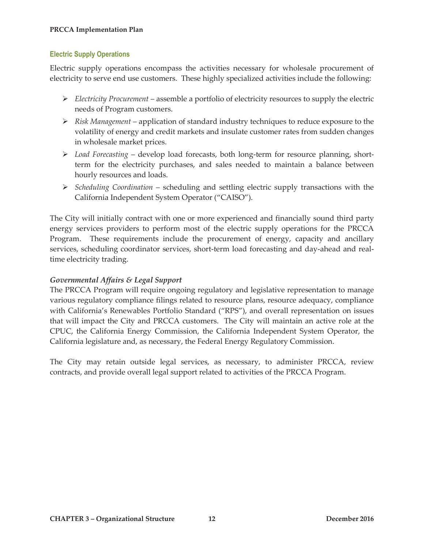# **Electric Supply Operations**

Electric supply operations encompass the activities necessary for wholesale procurement of electricity to serve end use customers. These highly specialized activities include the following:

- ¾ *Electricity Procurement* assemble a portfolio of electricity resources to supply the electric needs of Program customers.
- ¾ *Risk Management* application of standard industry techniques to reduce exposure to the volatility of energy and credit markets and insulate customer rates from sudden changes in wholesale market prices.
- ¾ *Load Forecasting* develop load forecasts, both long-term for resource planning, shortterm for the electricity purchases, and sales needed to maintain a balance between hourly resources and loads.
- ¾ *Scheduling Coordination* scheduling and settling electric supply transactions with the California Independent System Operator ("CAISO").

The City will initially contract with one or more experienced and financially sound third party energy services providers to perform most of the electric supply operations for the PRCCA Program. These requirements include the procurement of energy, capacity and ancillary services, scheduling coordinator services, short-term load forecasting and day-ahead and realtime electricity trading.

# *Governmental Affairs & Legal Support*

The PRCCA Program will require ongoing regulatory and legislative representation to manage various regulatory compliance filings related to resource plans, resource adequacy, compliance with California's Renewables Portfolio Standard ("RPS"), and overall representation on issues that will impact the City and PRCCA customers. The City will maintain an active role at the CPUC, the California Energy Commission, the California Independent System Operator, the California legislature and, as necessary, the Federal Energy Regulatory Commission.

The City may retain outside legal services, as necessary, to administer PRCCA, review contracts, and provide overall legal support related to activities of the PRCCA Program.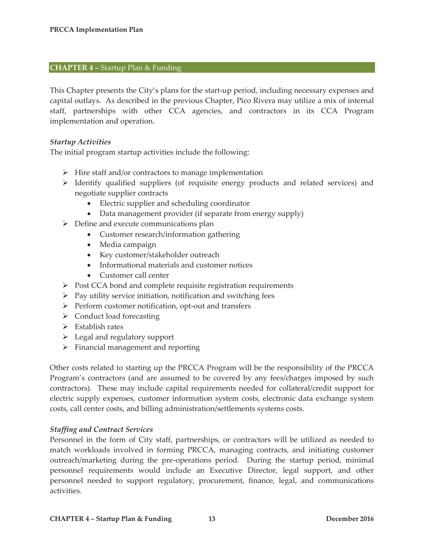#### **CHAPTER 4 –** Startup Plan & Funding

This Chapter presents the City's plans for the start-up period, including necessary expenses and capital outlays. As described in the previous Chapter, Pico Rivera may utilize a mix of internal staff, partnerships with other CCA agencies, and contractors in its CCA Program implementation and operation.

#### *Startup Activities*

The initial program startup activities include the following:

- $\triangleright$  Hire staff and/or contractors to manage implementation
- ¾ Identify qualified suppliers (of requisite energy products and related services) and negotiate supplier contracts
	- Electric supplier and scheduling coordinator
	- Data management provider (if separate from energy supply)
- $\triangleright$  Define and execute communications plan
	- Customer research/information gathering
	- Media campaign
	- Key customer/stakeholder outreach
	- Informational materials and customer notices
	- Customer call center
- ¾ Post CCA bond and complete requisite registration requirements
- $\triangleright$  Pay utility service initiation, notification and switching fees
- $\triangleright$  Perform customer notification, opt-out and transfers
- $\triangleright$  Conduct load forecasting
- $\triangleright$  Establish rates
- $\triangleright$  Legal and regulatory support
- $\triangleright$  Financial management and reporting

Other costs related to starting up the PRCCA Program will be the responsibility of the PRCCA Program's contractors (and are assumed to be covered by any fees/charges imposed by such contractors). These may include capital requirements needed for collateral/credit support for electric supply expenses, customer information system costs, electronic data exchange system costs, call center costs, and billing administration/settlements systems costs.

#### *Staffing and Contract Services*

Personnel in the form of City staff, partnerships, or contractors will be utilized as needed to match workloads involved in forming PRCCA, managing contracts, and initiating customer outreach/marketing during the pre-operations period. During the startup period, minimal personnel requirements would include an Executive Director, legal support, and other personnel needed to support regulatory, procurement, finance, legal, and communications activities.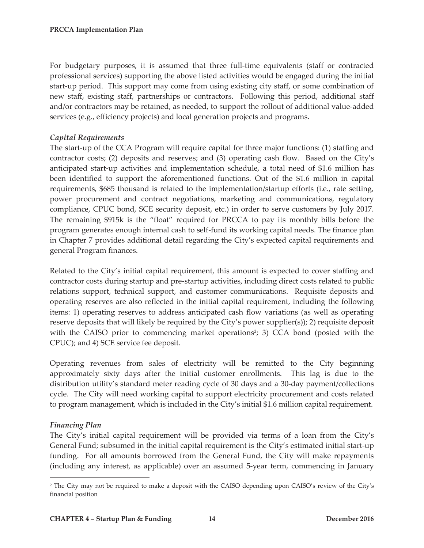For budgetary purposes, it is assumed that three full-time equivalents (staff or contracted professional services) supporting the above listed activities would be engaged during the initial start-up period. This support may come from using existing city staff, or some combination of new staff, existing staff, partnerships or contractors. Following this period, additional staff and/or contractors may be retained, as needed, to support the rollout of additional value-added services (e.g., efficiency projects) and local generation projects and programs.

# *Capital Requirements*

The start-up of the CCA Program will require capital for three major functions: (1) staffing and contractor costs; (2) deposits and reserves; and (3) operating cash flow. Based on the City's anticipated start-up activities and implementation schedule, a total need of \$1.6 million has been identified to support the aforementioned functions. Out of the \$1.6 million in capital requirements, \$685 thousand is related to the implementation/startup efforts (i.e., rate setting, power procurement and contract negotiations, marketing and communications, regulatory compliance, CPUC bond, SCE security deposit, etc.) in order to serve customers by July 2017. The remaining \$915k is the "float" required for PRCCA to pay its monthly bills before the program generates enough internal cash to self-fund its working capital needs. The finance plan in Chapter 7 provides additional detail regarding the City's expected capital requirements and general Program finances.

Related to the City's initial capital requirement, this amount is expected to cover staffing and contractor costs during startup and pre-startup activities, including direct costs related to public relations support, technical support, and customer communications. Requisite deposits and operating reserves are also reflected in the initial capital requirement, including the following items: 1) operating reserves to address anticipated cash flow variations (as well as operating reserve deposits that will likely be required by the City's power supplier(s)); 2) requisite deposit with the CAISO prior to commencing market operations<sup>2</sup>; 3) CCA bond (posted with the CPUC); and 4) SCE service fee deposit.

Operating revenues from sales of electricity will be remitted to the City beginning approximately sixty days after the initial customer enrollments. This lag is due to the distribution utility's standard meter reading cycle of 30 days and a 30-day payment/collections cycle. The City will need working capital to support electricity procurement and costs related to program management, which is included in the City's initial \$1.6 million capital requirement.

# *Financing Plan*

 $\overline{a}$ 

The City's initial capital requirement will be provided via terms of a loan from the City's General Fund; subsumed in the initial capital requirement is the City's estimated initial start-up funding. For all amounts borrowed from the General Fund, the City will make repayments (including any interest, as applicable) over an assumed 5-year term, commencing in January

<sup>2</sup> The City may not be required to make a deposit with the CAISO depending upon CAISO's review of the City's financial position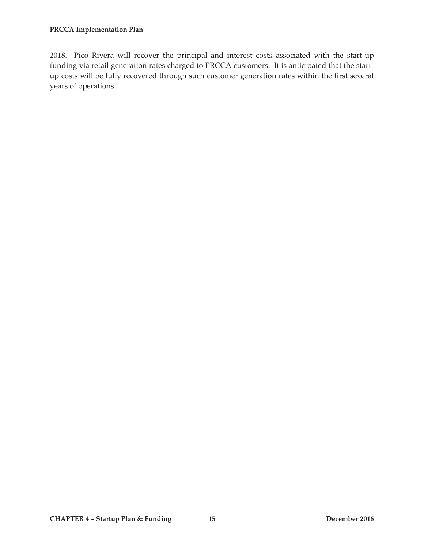2018. Pico Rivera will recover the principal and interest costs associated with the start-up funding via retail generation rates charged to PRCCA customers. It is anticipated that the startup costs will be fully recovered through such customer generation rates within the first several years of operations.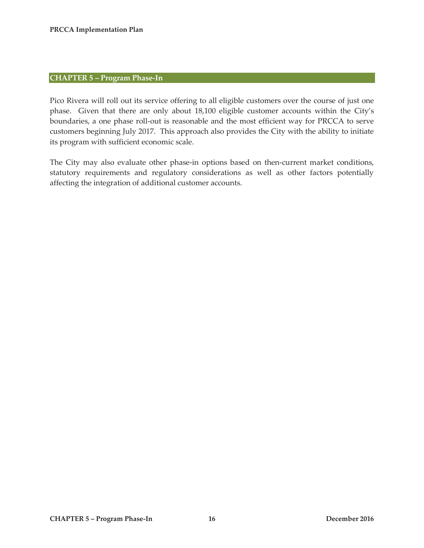#### **CHAPTER 5 – Program Phase-In**

Pico Rivera will roll out its service offering to all eligible customers over the course of just one phase. Given that there are only about 18,100 eligible customer accounts within the City's boundaries, a one phase roll-out is reasonable and the most efficient way for PRCCA to serve customers beginning July 2017. This approach also provides the City with the ability to initiate its program with sufficient economic scale.

The City may also evaluate other phase-in options based on then-current market conditions, statutory requirements and regulatory considerations as well as other factors potentially affecting the integration of additional customer accounts.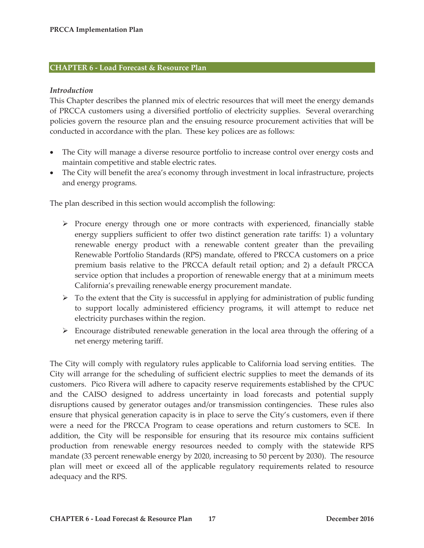#### **CHAPTER 6 - Load Forecast & Resource Plan**

#### *Introduction*

This Chapter describes the planned mix of electric resources that will meet the energy demands of PRCCA customers using a diversified portfolio of electricity supplies. Several overarching policies govern the resource plan and the ensuing resource procurement activities that will be conducted in accordance with the plan. These key polices are as follows:

- The City will manage a diverse resource portfolio to increase control over energy costs and maintain competitive and stable electric rates.
- The City will benefit the area's economy through investment in local infrastructure, projects and energy programs.

The plan described in this section would accomplish the following:

- $\triangleright$  Procure energy through one or more contracts with experienced, financially stable energy suppliers sufficient to offer two distinct generation rate tariffs: 1) a voluntary renewable energy product with a renewable content greater than the prevailing Renewable Portfolio Standards (RPS) mandate, offered to PRCCA customers on a price premium basis relative to the PRCCA default retail option; and 2) a default PRCCA service option that includes a proportion of renewable energy that at a minimum meets California's prevailing renewable energy procurement mandate.
- $\triangleright$  To the extent that the City is successful in applying for administration of public funding to support locally administered efficiency programs, it will attempt to reduce net electricity purchases within the region.
- $\triangleright$  Encourage distributed renewable generation in the local area through the offering of a net energy metering tariff.

The City will comply with regulatory rules applicable to California load serving entities. The City will arrange for the scheduling of sufficient electric supplies to meet the demands of its customers. Pico Rivera will adhere to capacity reserve requirements established by the CPUC and the CAISO designed to address uncertainty in load forecasts and potential supply disruptions caused by generator outages and/or transmission contingencies. These rules also ensure that physical generation capacity is in place to serve the City's customers, even if there were a need for the PRCCA Program to cease operations and return customers to SCE. In addition, the City will be responsible for ensuring that its resource mix contains sufficient production from renewable energy resources needed to comply with the statewide RPS mandate (33 percent renewable energy by 2020, increasing to 50 percent by 2030). The resource plan will meet or exceed all of the applicable regulatory requirements related to resource adequacy and the RPS.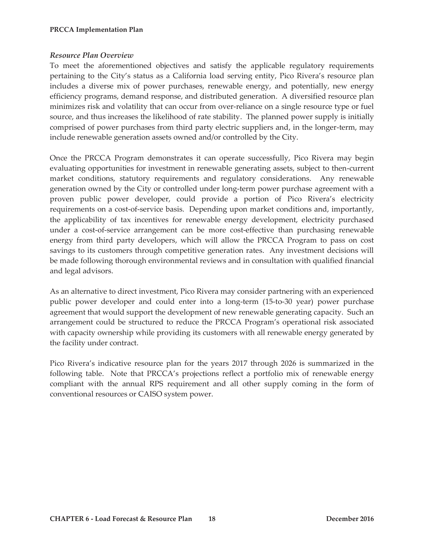#### *Resource Plan Overview*

To meet the aforementioned objectives and satisfy the applicable regulatory requirements pertaining to the City's status as a California load serving entity, Pico Rivera's resource plan includes a diverse mix of power purchases, renewable energy, and potentially, new energy efficiency programs, demand response, and distributed generation. A diversified resource plan minimizes risk and volatility that can occur from over-reliance on a single resource type or fuel source, and thus increases the likelihood of rate stability. The planned power supply is initially comprised of power purchases from third party electric suppliers and, in the longer-term, may include renewable generation assets owned and/or controlled by the City.

Once the PRCCA Program demonstrates it can operate successfully, Pico Rivera may begin evaluating opportunities for investment in renewable generating assets, subject to then-current market conditions, statutory requirements and regulatory considerations. Any renewable generation owned by the City or controlled under long-term power purchase agreement with a proven public power developer, could provide a portion of Pico Rivera's electricity requirements on a cost-of-service basis. Depending upon market conditions and, importantly, the applicability of tax incentives for renewable energy development, electricity purchased under a cost-of-service arrangement can be more cost-effective than purchasing renewable energy from third party developers, which will allow the PRCCA Program to pass on cost savings to its customers through competitive generation rates. Any investment decisions will be made following thorough environmental reviews and in consultation with qualified financial and legal advisors.

As an alternative to direct investment, Pico Rivera may consider partnering with an experienced public power developer and could enter into a long-term (15-to-30 year) power purchase agreement that would support the development of new renewable generating capacity. Such an arrangement could be structured to reduce the PRCCA Program's operational risk associated with capacity ownership while providing its customers with all renewable energy generated by the facility under contract.

Pico Rivera's indicative resource plan for the years 2017 through 2026 is summarized in the following table. Note that PRCCA's projections reflect a portfolio mix of renewable energy compliant with the annual RPS requirement and all other supply coming in the form of conventional resources or CAISO system power.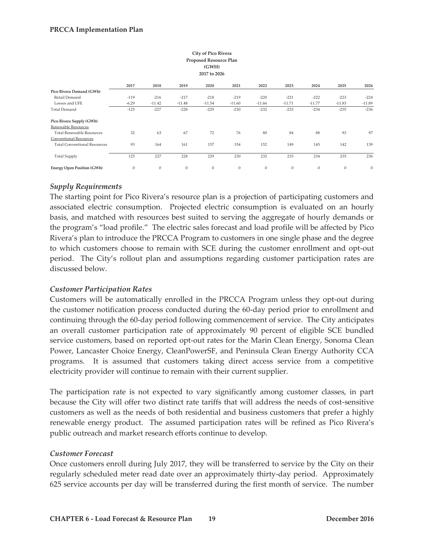| <b>City of Pico Rivera</b><br>Proposed Resource Plan<br>(GWH)<br>2017 to 2026 |                  |              |              |              |              |                  |          |              |              |              |  |  |
|-------------------------------------------------------------------------------|------------------|--------------|--------------|--------------|--------------|------------------|----------|--------------|--------------|--------------|--|--|
|                                                                               | 2017             | 2018         | 2019         | 2020         | 2021         | 2022             | 2023     | 2024         | 2025         | 2026         |  |  |
| Pico Rivera Demand (GWh)                                                      |                  |              |              |              |              |                  |          |              |              |              |  |  |
| Retail Demand                                                                 | $-119$           | $-216$       | $-217$       | $-218$       | $-219$       | $-220$           | $-221$   | $-222$       | $-223$       | $-224$       |  |  |
| Losses and UFE                                                                | $-6.29$          | $-11.42$     | $-11.48$     | $-11.54$     | $-11.60$     | $-11.66$         | $-11.71$ | $-11.77$     | $-11.83$     | $-11.89$     |  |  |
| <b>Total Demand</b>                                                           | $-125$           | $-227$       | $-228$       | $-229$       | $-230$       | $-232$           | $-233$   | $-234$       | $-235$       | $-236$       |  |  |
| Pico Rivera Supply (GWh)                                                      |                  |              |              |              |              |                  |          |              |              |              |  |  |
| Renewable Resources                                                           |                  |              |              |              |              |                  |          |              |              |              |  |  |
| <b>Total Renewable Resources</b>                                              | 32               | 63           | 67           | 72           | 76           | 80               | 84       | 88           | 93           | 97           |  |  |
| Conventional Resources                                                        |                  |              |              |              |              |                  |          |              |              |              |  |  |
| <b>Total Conventional Resources</b>                                           | 93               | 164          | 161          | 157          | 154          | 152              | 149      | 145          | 142          | 139          |  |  |
| <b>Total Supply</b>                                                           | 125              | 227          | 228          | 229          | 230          | 232              | 233      | 234          | 235          | 236          |  |  |
| <b>Energy Open Position (GWh)</b>                                             | $\boldsymbol{0}$ | $\mathbf{0}$ | $\mathbf{0}$ | $\mathbf{0}$ | $\mathbf{0}$ | $\boldsymbol{0}$ | $\bf{0}$ | $\mathbf{0}$ | $\mathbf{0}$ | $\mathbf{0}$ |  |  |

#### *Supply Requirements*

The starting point for Pico Rivera's resource plan is a projection of participating customers and associated electric consumption. Projected electric consumption is evaluated on an hourly basis, and matched with resources best suited to serving the aggregate of hourly demands or the program's "load profile." The electric sales forecast and load profile will be affected by Pico Rivera's plan to introduce the PRCCA Program to customers in one single phase and the degree to which customers choose to remain with SCE during the customer enrollment and opt-out period. The City's rollout plan and assumptions regarding customer participation rates are discussed below.

#### *Customer Participation Rates*

Customers will be automatically enrolled in the PRCCA Program unless they opt-out during the customer notification process conducted during the 60-day period prior to enrollment and continuing through the 60-day period following commencement of service. The City anticipates an overall customer participation rate of approximately 90 percent of eligible SCE bundled service customers, based on reported opt-out rates for the Marin Clean Energy, Sonoma Clean Power, Lancaster Choice Energy, CleanPowerSF, and Peninsula Clean Energy Authority CCA programs. It is assumed that customers taking direct access service from a competitive electricity provider will continue to remain with their current supplier.

The participation rate is not expected to vary significantly among customer classes, in part because the City will offer two distinct rate tariffs that will address the needs of cost-sensitive customers as well as the needs of both residential and business customers that prefer a highly renewable energy product. The assumed participation rates will be refined as Pico Rivera's public outreach and market research efforts continue to develop.

#### *Customer Forecast*

Once customers enroll during July 2017, they will be transferred to service by the City on their regularly scheduled meter read date over an approximately thirty-day period. Approximately 625 service accounts per day will be transferred during the first month of service. The number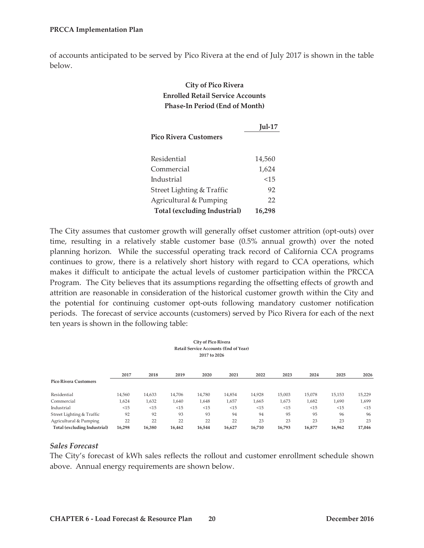of accounts anticipated to be served by Pico Rivera at the end of July 2017 is shown in the table below.

# **City of Pico Rivera Enrolled Retail Service Accounts Phase-In Period (End of Month)**

|                              | $Iul-17$ |
|------------------------------|----------|
| <b>Pico Rivera Customers</b> |          |
|                              |          |
| Residential                  | 14,560   |
| Commercial                   | 1,624    |
| Industrial                   | < 1.5    |
| Street Lighting & Traffic    | 92       |
| Agricultural & Pumping       | 22       |
| Total (excluding Industrial) | 16,298   |

The City assumes that customer growth will generally offset customer attrition (opt-outs) over time, resulting in a relatively stable customer base (0.5% annual growth) over the noted planning horizon. While the successful operating track record of California CCA programs continues to grow, there is a relatively short history with regard to CCA operations, which makes it difficult to anticipate the actual levels of customer participation within the PRCCA Program. The City believes that its assumptions regarding the offsetting effects of growth and attrition are reasonable in consideration of the historical customer growth within the City and the potential for continuing customer opt-outs following mandatory customer notification periods. The forecast of service accounts (customers) served by Pico Rivera for each of the next ten years is shown in the following table:

| <b>City of Pico Rivera</b><br><b>Retail Service Accounts (End of Year)</b><br>2017 to 2026 |        |        |        |        |        |        |        |        |        |        |  |
|--------------------------------------------------------------------------------------------|--------|--------|--------|--------|--------|--------|--------|--------|--------|--------|--|
|                                                                                            | 2017   | 2018   | 2019   | 2020   | 2021   | 2022   | 2023   | 2024   | 2025   | 2026   |  |
| <b>Pico Rivera Customers</b>                                                               |        |        |        |        |        |        |        |        |        |        |  |
| Residential                                                                                | 14,560 | 14,633 | 14,706 | 14,780 | 14,854 | 14,928 | 15,003 | 15,078 | 15,153 | 15,229 |  |
| Commercial                                                                                 | 1,624  | 1,632  | 1,640  | 1,648  | 1,657  | 1,665  | 1,673  | 1,682  | 1,690  | 1,699  |  |
| Industrial                                                                                 | <15    | <15    | <15    | <15    | <15    | <15    | <15    | <15    | <15    | <15    |  |
| Street Lighting & Traffic                                                                  | 92     | 92     | 93     | 93     | 94     | 94     | 95     | 95     | 96     | 96     |  |
| Agricultural & Pumping                                                                     | 22     | 22     | 22     | 22     | 22     | 23     | 23     | 23     | 23     | 23     |  |
| Total (excluding Industrial)                                                               | 16,298 | 16,380 | 16,462 | 16,544 | 16,627 | 16,710 | 16,793 | 16,877 | 16,962 | 17,046 |  |

#### *Sales Forecast*

The City's forecast of kWh sales reflects the rollout and customer enrollment schedule shown above. Annual energy requirements are shown below.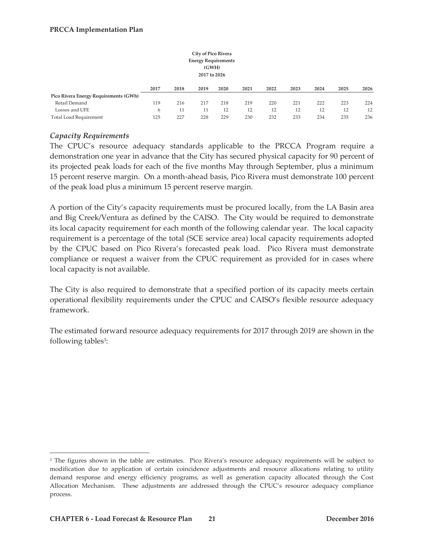|                                       |      |      | <b>City of Pico Rivera</b><br><b>Energy Requirements</b><br>(GWH)<br>2017 to 2026 |      |      |      |      |      |      |      |
|---------------------------------------|------|------|-----------------------------------------------------------------------------------|------|------|------|------|------|------|------|
|                                       | 2017 | 2018 | 2019                                                                              | 2020 | 2021 | 2022 | 2023 | 2024 | 2025 | 2026 |
| Pico Rivera Energy Requirements (GWh) |      |      |                                                                                   |      |      |      |      |      |      |      |
| Retail Demand                         | 119  | 216  | 217                                                                               | 218  | 219  | 220  | 221  | 222  | 223  | 224  |
| Losses and UFE                        | 6    | 11   | 11                                                                                | 12   | 12   | 12   | 12   | 12   | 12   | 12   |
| <b>Total Load Requirement</b>         | 125  | 227  | 228                                                                               | 229  | 230  | 232  | 233  | 234  | 235  | 236  |

### *Capacity Requirements*

The CPUC's resource adequacy standards applicable to the PRCCA Program require a demonstration one year in advance that the City has secured physical capacity for 90 percent of its projected peak loads for each of the five months May through September, plus a minimum 15 percent reserve margin. On a month-ahead basis, Pico Rivera must demonstrate 100 percent of the peak load plus a minimum 15 percent reserve margin.

A portion of the City's capacity requirements must be procured locally, from the LA Basin area and Big Creek/Ventura as defined by the CAISO. The City would be required to demonstrate its local capacity requirement for each month of the following calendar year. The local capacity requirement is a percentage of the total (SCE service area) local capacity requirements adopted by the CPUC based on Pico Rivera's forecasted peak load. Pico Rivera must demonstrate compliance or request a waiver from the CPUC requirement as provided for in cases where local capacity is not available.

The City is also required to demonstrate that a specified portion of its capacity meets certain operational flexibility requirements under the CPUC and CAISO's flexible resource adequacy framework.

The estimated forward resource adequacy requirements for 2017 through 2019 are shown in the following tables<sup>3</sup>:

 $\overline{a}$ 

<sup>&</sup>lt;sup>3</sup> The figures shown in the table are estimates. Pico Rivera's resource adequacy requirements will be subject to modification due to application of certain coincidence adjustments and resource allocations relating to utility demand response and energy efficiency programs, as well as generation capacity allocated through the Cost Allocation Mechanism. These adjustments are addressed through the CPUC's resource adequacy compliance process.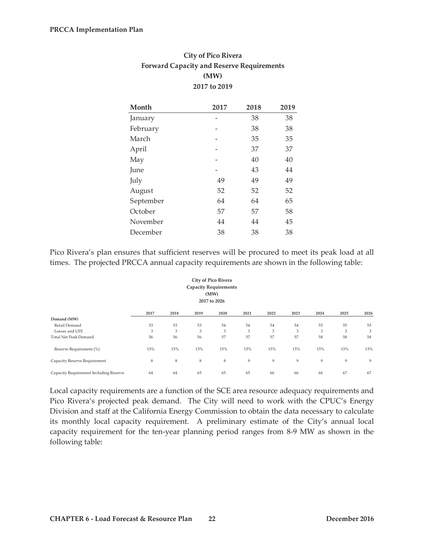| <b>City of Pico Rivera</b>                       |
|--------------------------------------------------|
| <b>Forward Capacity and Reserve Requirements</b> |
| (MW)                                             |
| 2017 to 2019                                     |

| Month     | 2017 | 2018 | 2019 |
|-----------|------|------|------|
| January   |      | 38   | 38   |
| February  |      | 38   | 38   |
| March     |      | 35   | 35   |
| April     |      | 37   | 37   |
| May       |      | 40   | 40   |
| June      |      | 43   | 44   |
| July      | 49   | 49   | 49   |
| August    | 52   | 52   | 52   |
| September | 64   | 64   | 65   |
| October   | 57   | 57   | 58   |
| November  | 44   | 44   | 45   |
| December  | 38   | 38   | 38   |

Pico Rivera's plan ensures that sufficient reserves will be procured to meet its peak load at all times. The projected PRCCA annual capacity requirements are shown in the following table:

| <b>City of Pico Rivera</b><br><b>Capacity Requirements</b><br>(MW)<br>2017 to 2026 |      |      |      |      |      |      |      |      |      |      |  |
|------------------------------------------------------------------------------------|------|------|------|------|------|------|------|------|------|------|--|
|                                                                                    | 2017 | 2018 | 2019 | 2020 | 2021 | 2022 | 2023 | 2024 | 2025 | 2026 |  |
| Demand (MW)                                                                        |      |      |      |      |      |      |      |      |      |      |  |
| Retail Demand                                                                      | 53   | 53   | 53   | 54   | 54   | 54   | 54   | 55   | 55   | 55   |  |
| Losses and UFE                                                                     | 3    | 3    | 3    | 3    | 3    | 3    | 3    | 3    | 3    | 3    |  |
| Total Net Peak Demand                                                              | 56   | 56   | 56   | 57   | 57   | 57   | 57   | 58   | 58   | 58   |  |
| Reserve Requirement (%)                                                            | 15%  | 15%  | 15%  | 15%  | 15%  | 15%  | 15%  | 15%  | 15%  | 15%  |  |
| Capacity Reserve Requirement                                                       | 8    | 8    | 8    | 8    | 9    | 9    | 9    | 9    | 9    | 9    |  |
| Capacity Requirement Including Reserve                                             | 64   | 64   | 65   | 65   | 65   | 66   | 66   | 66   | 67   | 67   |  |

Local capacity requirements are a function of the SCE area resource adequacy requirements and Pico Rivera's projected peak demand. The City will need to work with the CPUC's Energy Division and staff at the California Energy Commission to obtain the data necessary to calculate its monthly local capacity requirement. A preliminary estimate of the City's annual local capacity requirement for the ten-year planning period ranges from 8-9 MW as shown in the following table: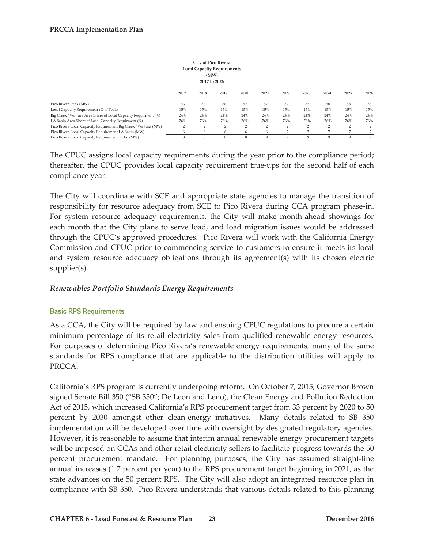| City of Pico Rivera<br><b>Local Capacity Requirements</b><br>(MW)<br>2017 to 2026 |                |               |                |                |                |                |        |                |                |      |  |
|-----------------------------------------------------------------------------------|----------------|---------------|----------------|----------------|----------------|----------------|--------|----------------|----------------|------|--|
|                                                                                   | 2017           | 2018          | 2019           | 2020           | 2021           | 2022           | 2023   | 2024           | 2025           | 2026 |  |
| Pico Rivera Peak (MW)                                                             | 56             | 56            | 56             | 57             | 57             | 57             | 57     | 58             | 58             | 58   |  |
| Local Capacity Requirement (% of Peak)                                            | 15%            | 15%           | 15%            | 15%            | 15%            | 15%            | 15%    | 15%            | 15%            | 15%  |  |
| Big Creek / Ventura Area Share of Local Capacity Requirment (%)                   | 24%            | 24%           | 24%            | 24%            | 24%            | 24%            | 24%    | 24%            | 24%            | 24%  |  |
| LA Basin Area Share of Local Capacity Requirment (%)                              | 76%            | 76%           | 76%            | 76%            | 76%            | 76%            | 76%    | 76%            | 76%            | 76%  |  |
| Pico Rivera Local Capacity Requirement Big Creek / Ventura (MW)                   | $\overline{2}$ | $\mathcal{L}$ | $\overline{2}$ | $\overline{2}$ | $\overline{2}$ | $\overline{2}$ | $\sim$ | 2              | $\overline{2}$ | 2    |  |
| Pico Rivera Local Capacity Requirement LA Basin (MW)                              | 6              | 6             | 6              | 6              | 6              |                |        | $\overline{ }$ |                |      |  |
| Pico Rivera Local Capacity Requirement, Total (MW)                                | 8              | 8             | 8              | 8              | 9              | 9              | 9      | 9              | 9              | 9    |  |

The CPUC assigns local capacity requirements during the year prior to the compliance period; thereafter, the CPUC provides local capacity requirement true-ups for the second half of each compliance year.

The City will coordinate with SCE and appropriate state agencies to manage the transition of responsibility for resource adequacy from SCE to Pico Rivera during CCA program phase-in. For system resource adequacy requirements, the City will make month-ahead showings for each month that the City plans to serve load, and load migration issues would be addressed through the CPUC's approved procedures. Pico Rivera will work with the California Energy Commission and CPUC prior to commencing service to customers to ensure it meets its local and system resource adequacy obligations through its agreement(s) with its chosen electric supplier(s).

#### *Renewables Portfolio Standards Energy Requirements*

#### **Basic RPS Requirements**

As a CCA, the City will be required by law and ensuing CPUC regulations to procure a certain minimum percentage of its retail electricity sales from qualified renewable energy resources. For purposes of determining Pico Rivera's renewable energy requirements, many of the same standards for RPS compliance that are applicable to the distribution utilities will apply to PRCCA.

California's RPS program is currently undergoing reform. On October 7, 2015, Governor Brown signed Senate Bill 350 ("SB 350"; De Leon and Leno), the Clean Energy and Pollution Reduction Act of 2015, which increased California's RPS procurement target from 33 percent by 2020 to 50 percent by 2030 amongst other clean-energy initiatives. Many details related to SB 350 implementation will be developed over time with oversight by designated regulatory agencies. However, it is reasonable to assume that interim annual renewable energy procurement targets will be imposed on CCAs and other retail electricity sellers to facilitate progress towards the 50 percent procurement mandate. For planning purposes, the City has assumed straight-line annual increases (1.7 percent per year) to the RPS procurement target beginning in 2021, as the state advances on the 50 percent RPS. The City will also adopt an integrated resource plan in compliance with SB 350. Pico Rivera understands that various details related to this planning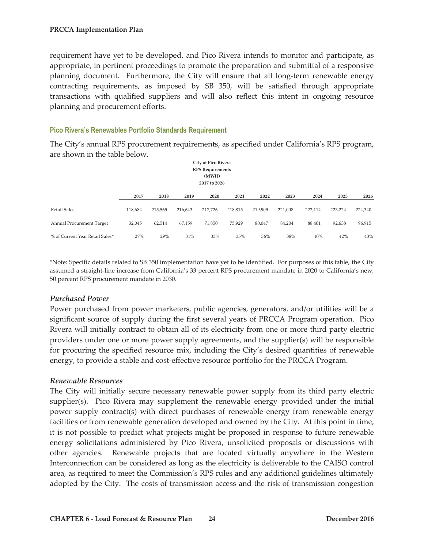requirement have yet to be developed, and Pico Rivera intends to monitor and participate, as appropriate, in pertinent proceedings to promote the preparation and submittal of a responsive planning document. Furthermore, the City will ensure that all long-term renewable energy contracting requirements, as imposed by SB 350, will be satisfied through appropriate transactions with qualified suppliers and will also reflect this intent in ongoing resource planning and procurement efforts.

#### **Pico Rivera's Renewables Portfolio Standards Requirement**

The City's annual RPS procurement requirements, as specified under California's RPS program, are shown in the table below.

| <b>City of Pico Rivera</b><br><b>RPS</b> Requirements<br>(MWH)<br>2017 to 2026 |         |         |         |         |         |         |         |         |         |         |  |  |
|--------------------------------------------------------------------------------|---------|---------|---------|---------|---------|---------|---------|---------|---------|---------|--|--|
|                                                                                | 2017    | 2018    | 2019    | 2020    | 2021    | 2022    | 2023    | 2024    | 2025    | 2026    |  |  |
| <b>Retail Sales</b>                                                            | 118,684 | 215,565 | 216,643 | 217,726 | 218,815 | 219,909 | 221,008 | 222,114 | 223,224 | 224,340 |  |  |
| Annual Procurement Target                                                      | 32,045  | 62,514  | 67,159  | 71,850  | 75,929  | 80,047  | 84,204  | 88,401  | 92,638  | 96,915  |  |  |
| % of Current Year Retail Sales*                                                | 27%     | 29%     | 31%     | 33%     | 35%     | 36%     | 38%     | 40%     | 42%     | 43%     |  |  |

\*Note: Specific details related to SB 350 implementation have yet to be identified. For purposes of this table, the City assumed a straight-line increase from California's 33 percent RPS procurement mandate in 2020 to California's new, 50 percent RPS procurement mandate in 2030.

#### *Purchased Power*

Power purchased from power marketers, public agencies, generators, and/or utilities will be a significant source of supply during the first several years of PRCCA Program operation. Pico Rivera will initially contract to obtain all of its electricity from one or more third party electric providers under one or more power supply agreements, and the supplier(s) will be responsible for procuring the specified resource mix, including the City's desired quantities of renewable energy, to provide a stable and cost-effective resource portfolio for the PRCCA Program.

#### *Renewable Resources*

The City will initially secure necessary renewable power supply from its third party electric supplier(s). Pico Rivera may supplement the renewable energy provided under the initial power supply contract(s) with direct purchases of renewable energy from renewable energy facilities or from renewable generation developed and owned by the City. At this point in time, it is not possible to predict what projects might be proposed in response to future renewable energy solicitations administered by Pico Rivera, unsolicited proposals or discussions with other agencies. Renewable projects that are located virtually anywhere in the Western Interconnection can be considered as long as the electricity is deliverable to the CAISO control area, as required to meet the Commission's RPS rules and any additional guidelines ultimately adopted by the City. The costs of transmission access and the risk of transmission congestion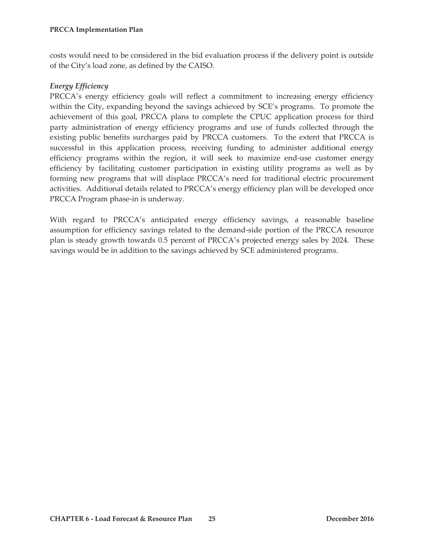costs would need to be considered in the bid evaluation process if the delivery point is outside of the City's load zone, as defined by the CAISO.

#### *Energy Efficiency*

PRCCA's energy efficiency goals will reflect a commitment to increasing energy efficiency within the City, expanding beyond the savings achieved by SCE's programs. To promote the achievement of this goal, PRCCA plans to complete the CPUC application process for third party administration of energy efficiency programs and use of funds collected through the existing public benefits surcharges paid by PRCCA customers. To the extent that PRCCA is successful in this application process, receiving funding to administer additional energy efficiency programs within the region, it will seek to maximize end-use customer energy efficiency by facilitating customer participation in existing utility programs as well as by forming new programs that will displace PRCCA's need for traditional electric procurement activities. Additional details related to PRCCA's energy efficiency plan will be developed once PRCCA Program phase-in is underway.

With regard to PRCCA's anticipated energy efficiency savings, a reasonable baseline assumption for efficiency savings related to the demand-side portion of the PRCCA resource plan is steady growth towards 0.5 percent of PRCCA's projected energy sales by 2024. These savings would be in addition to the savings achieved by SCE administered programs.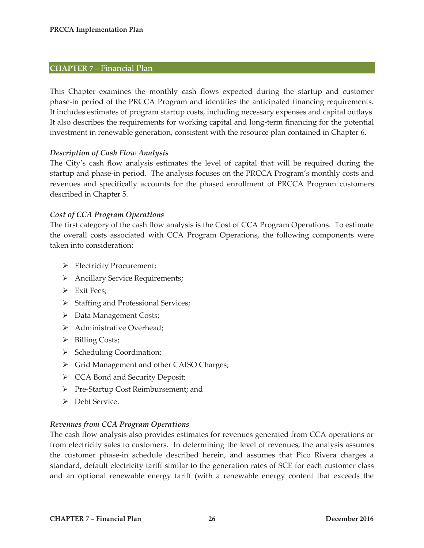#### **CHAPTER 7 –** Financial Plan

This Chapter examines the monthly cash flows expected during the startup and customer phase-in period of the PRCCA Program and identifies the anticipated financing requirements. It includes estimates of program startup costs, including necessary expenses and capital outlays. It also describes the requirements for working capital and long-term financing for the potential investment in renewable generation, consistent with the resource plan contained in Chapter 6.

#### *Description of Cash Flow Analysis*

The City's cash flow analysis estimates the level of capital that will be required during the startup and phase-in period. The analysis focuses on the PRCCA Program's monthly costs and revenues and specifically accounts for the phased enrollment of PRCCA Program customers described in Chapter 5.

#### *Cost of CCA Program Operations*

The first category of the cash flow analysis is the Cost of CCA Program Operations. To estimate the overall costs associated with CCA Program Operations, the following components were taken into consideration:

- ¾ Electricity Procurement;
- ¾ Ancillary Service Requirements;
- $\triangleright$  Exit Fees:
- ¾ Staffing and Professional Services;
- $\triangleright$  Data Management Costs;
- ¾ Administrative Overhead;
- $\triangleright$  Billing Costs;
- ¾ Scheduling Coordination;
- ¾ Grid Management and other CAISO Charges;
- ¾ CCA Bond and Security Deposit;
- ¾ Pre-Startup Cost Reimbursement; and
- $\triangleright$  Debt Service.

#### *Revenues from CCA Program Operations*

The cash flow analysis also provides estimates for revenues generated from CCA operations or from electricity sales to customers. In determining the level of revenues, the analysis assumes the customer phase-in schedule described herein, and assumes that Pico Rivera charges a standard, default electricity tariff similar to the generation rates of SCE for each customer class and an optional renewable energy tariff (with a renewable energy content that exceeds the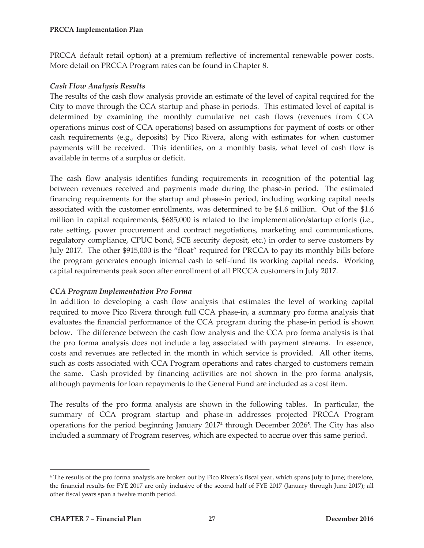PRCCA default retail option) at a premium reflective of incremental renewable power costs. More detail on PRCCA Program rates can be found in Chapter 8.

# *Cash Flow Analysis Results*

The results of the cash flow analysis provide an estimate of the level of capital required for the City to move through the CCA startup and phase-in periods. This estimated level of capital is determined by examining the monthly cumulative net cash flows (revenues from CCA operations minus cost of CCA operations) based on assumptions for payment of costs or other cash requirements (e.g., deposits) by Pico Rivera, along with estimates for when customer payments will be received. This identifies, on a monthly basis, what level of cash flow is available in terms of a surplus or deficit.

The cash flow analysis identifies funding requirements in recognition of the potential lag between revenues received and payments made during the phase-in period. The estimated financing requirements for the startup and phase-in period, including working capital needs associated with the customer enrollments, was determined to be \$1.6 million. Out of the \$1.6 million in capital requirements, \$685,000 is related to the implementation/startup efforts (i.e., rate setting, power procurement and contract negotiations, marketing and communications, regulatory compliance, CPUC bond, SCE security deposit, etc.) in order to serve customers by July 2017. The other \$915,000 is the "float" required for PRCCA to pay its monthly bills before the program generates enough internal cash to self-fund its working capital needs. Working capital requirements peak soon after enrollment of all PRCCA customers in July 2017.

# *CCA Program Implementation Pro Forma*

In addition to developing a cash flow analysis that estimates the level of working capital required to move Pico Rivera through full CCA phase-in, a summary pro forma analysis that evaluates the financial performance of the CCA program during the phase-in period is shown below. The difference between the cash flow analysis and the CCA pro forma analysis is that the pro forma analysis does not include a lag associated with payment streams. In essence, costs and revenues are reflected in the month in which service is provided. All other items, such as costs associated with CCA Program operations and rates charged to customers remain the same. Cash provided by financing activities are not shown in the pro forma analysis, although payments for loan repayments to the General Fund are included as a cost item.

The results of the pro forma analysis are shown in the following tables. In particular, the summary of CCA program startup and phase-in addresses projected PRCCA Program operations for the period beginning January 20174 through December 2026**5**. The City has also included a summary of Program reserves, which are expected to accrue over this same period.

 $\overline{a}$ 

<sup>4</sup> The results of the pro forma analysis are broken out by Pico Rivera's fiscal year, which spans July to June; therefore, the financial results for FYE 2017 are only inclusive of the second half of FYE 2017 (January through June 2017); all other fiscal years span a twelve month period.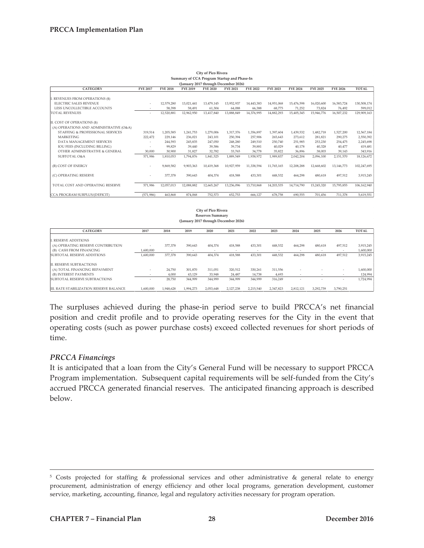|                                         |                 |                 |                 |                 | Summary of CCA Program Startup and Phase-In |                 |                 |                 |                 |                 |              |
|-----------------------------------------|-----------------|-----------------|-----------------|-----------------|---------------------------------------------|-----------------|-----------------|-----------------|-----------------|-----------------|--------------|
|                                         |                 |                 |                 |                 | (January 2017 through December 2026)        |                 |                 |                 |                 |                 |              |
| <b>CATEGORY</b>                         | <b>FYE 2017</b> | <b>FYE 2018</b> | <b>FYE 2019</b> | <b>FYE 2020</b> | <b>FYE 2021</b>                             | <b>FYE 2022</b> | <b>FYE 2023</b> | <b>FYE 2024</b> | <b>FYE 2025</b> | <b>FYE 2026</b> | <b>TOTAL</b> |
|                                         |                 |                 |                 |                 |                                             |                 |                 |                 |                 |                 |              |
| I. REVENUES FROM OPERATIONS (\$)        |                 |                 |                 |                 |                                             |                 |                 |                 |                 |                 |              |
| ELECTRIC SALES REVENUE                  | $\sim$          | 12,579,280      | 13.021.441      | 13.479.145      | 13.952.937                                  | 14,443,383      | 14.951.068      | 15,476,598      | 16.020.600      | 16,583,724      | 130,508,174  |
| LESS UNCOLLECTIBLE ACCOUNTS             | $\sim$          | 58,398          | 58,491          | 61,304          | 64,088                                      | 66,388          | 68,775          | 71,252          | 73,824          | 76,492          | 599,012      |
| <b>TOTAL REVENUES</b>                   | $\sim$          | 12,520,881      | 12,962,950      | 13,417,840      | 13,888,849                                  | 14,376,995      | 14,882,293      | 15,405,345      | 15,946,776      | 16,507,232      | 129,909,163  |
| II. COST OF OPERATIONS (\$)             |                 |                 |                 |                 |                                             |                 |                 |                 |                 |                 |              |
| (A) OPERATIONS AND ADMINISTRATIVE (O&A) |                 |                 |                 |                 |                                             |                 |                 |                 |                 |                 |              |
| STAFFING & PROFESSIONAL SERVICES        | 319.514         | 1.205.585       | 1,241,753       | 1,279,006       | 1,317,376                                   | 1,356,897       | 1,397,604       | 1,439,532       | 1,482,718       | 1,527,200       | 12,567,184   |
| <b>MARKETING</b>                        | 222,472         | 229.146         | 236,021         | 243.101         | 250,394                                     | 257.906         | 265,643         | 273,612         | 281,821         | 290,275         | 2,550,392    |
| DATA MANAGEMENT SERVICES                |                 | 244,593         | 245,835         | 247.050         | 248,280                                     | 249,510         | 250,740         | 251,985         | 253,230         | 254,475         | 2,245,698    |
| <b>IOU FEES (INCLUDING BILLING)</b>     |                 | 99.829          | 39.440          | 39,586          | 39,734                                      | 39.881          | 40,029          | 40,178          | 40,328          | 40,477          | 419,481      |
| OTHER ADMINISTRATIVE & GENERAL          | 30,000          | 30,900          | 31.827          | 32,782          | 33.765                                      | 34.778          | 35.822          | 36.896          | 38,003          | 39,143          | 343,916      |
| <b>SUBTOTAL O&amp;A</b>                 | 571,986         | 1,810,053       | 1,794,876       | 1,841,525       | 1,889,549                                   | 1,938,972       | 1,989,837       | 2,042,204       | 2,096,100       | 2,151,570       | 18,126,672   |
| (B) COST OF ENERGY                      | $\sim$          | 9,869,582       | 9,903,363       | 10.419.368      | 10.927.959                                  | 11,338,594      | 11.765.165      | 12,208,288      | 12,668,602      | 13.146.773      | 102,247,695  |
| (C) OPERATING RESERVE                   |                 | 377,378         | 390,643         | 404,374         | 418,588                                     | 433,301         | 448,532         | 464,298         | 480,618         | 497,512         | 3,915,245    |
| TOTAL COST AND OPERATING RESERVE        | 571,986         | 12,057,013      | 12,088,882      | 12,665,267      | 13,236,096                                  | 13,710,868      | 14,203,535      | 14,714,790      | 15,245,320      | 15,795,855      | 106,162,940  |
| CCA PROGRAM SURPLUS/(DEFICIT)           | (571.986)       | 463.868         | 874.068         | 752,573         | 652.753                                     | 666.127         | 678.758         | 690,555         | 701.456         | 711,378         | 5,619,551    |

| City of Pico Rivera                         |
|---------------------------------------------|
| Summary of CCA Program Startup and Phase-In |
| (January 2017 through December 2026)        |
|                                             |

|                                         |           |                          |                          | City of Pico Rivera<br><b>Reserves Summary</b> |           |           |           |           |                          |           |              |
|-----------------------------------------|-----------|--------------------------|--------------------------|------------------------------------------------|-----------|-----------|-----------|-----------|--------------------------|-----------|--------------|
| (January 2017 through December 2026)    |           |                          |                          |                                                |           |           |           |           |                          |           |              |
| <b>CATEGORY</b>                         | 2017      | 2018                     | 2019                     | 2020                                           | 2021      | 2022      | 2023      | 2024      | 2025                     | 2026      | <b>TOTAL</b> |
| . RESERVE ADDITIONS                     |           |                          |                          |                                                |           |           |           |           |                          |           |              |
| (A) OPERATING RESERVE CONTRIBUTION      |           | 377,378                  | 390,643                  | 404,374                                        | 418,588   | 433,301   | 448,532   | 464,298   | 480,618                  | 497,512   | 3,915,245    |
| (B) CASH FROM FINANCING                 | L600.000  | $\overline{\phantom{a}}$ | $\overline{\phantom{a}}$ | $\sim$                                         | $\sim$    |           |           | ۰         |                          |           | 1,600,000    |
| SUBTOTAL RESERVE ADDITIONS              | 1,600,000 | 377,378                  | 390,643                  | 404,374                                        | 418,588   | 433,301   | 448,532   | 464,298   | 480,618                  | 497,512   | 3,915,245    |
| II. RESERVE SUBTRACTIONS                |           |                          |                          |                                                |           |           |           |           |                          |           |              |
| (A) TOTAL FINANCING REPAYMENT           | $\sim$    | 24.750                   | 301.870                  | 311.051                                        | 320,512   | 330,261   | 311,556   |           |                          |           | 1,600,000    |
| (B) INTEREST PAYMENTS                   |           | 4,000                    | 43,129                   | 33,948                                         | 24,487    | 14,738    | 4,693     | ۰         | $\sim$                   |           | 124,994      |
| SUBTOTAL RESERVE SUBTRACTIONS           |           | 28,750                   | 344,999                  | 344,999                                        | 344,999   | 344,999   | 316,249   | ۰         | $\overline{\phantom{a}}$ | $\sim$    | 1,724,994    |
| III. RATE STABILIZATION RESERVE BALANCE | 1,600,000 | 1,948,628                | 1,994,273                | 2,053,648                                      | 2,127,238 | 2,215,540 | 2,347,823 | 2,812,121 | 3,292,739                | 3,790,251 |              |

The surpluses achieved during the phase-in period serve to build PRCCA's net financial position and credit profile and to provide operating reserves for the City in the event that operating costs (such as power purchase costs) exceed collected revenues for short periods of time.

#### *PRCCA Financings*

It is anticipated that a loan from the City's General Fund will be necessary to support PRCCA Program implementation. Subsequent capital requirements will be self-funded from the City's accrued PRCCA generated financial reserves. The anticipated financing approach is described below.

 <sup>5</sup> Costs projected for staffing & professional services and other administrative & general relate to energy procurement, administration of energy efficiency and other local programs, generation development, customer service, marketing, accounting, finance, legal and regulatory activities necessary for program operation.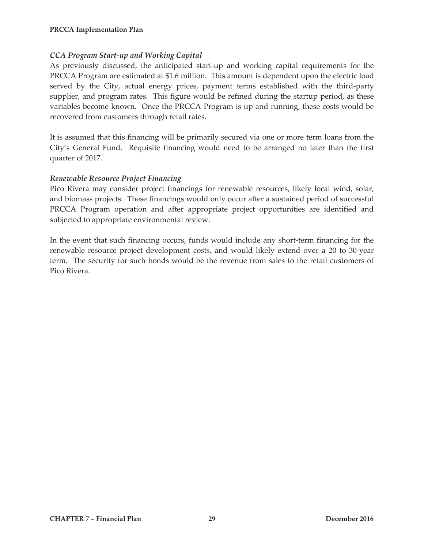# *CCA Program Start-up and Working Capital*

As previously discussed, the anticipated start-up and working capital requirements for the PRCCA Program are estimated at \$1.6 million. This amount is dependent upon the electric load served by the City, actual energy prices, payment terms established with the third-party supplier, and program rates. This figure would be refined during the startup period, as these variables become known. Once the PRCCA Program is up and running, these costs would be recovered from customers through retail rates.

It is assumed that this financing will be primarily secured via one or more term loans from the City's General Fund. Requisite financing would need to be arranged no later than the first quarter of 2017.

#### *Renewable Resource Project Financing*

Pico Rivera may consider project financings for renewable resources, likely local wind, solar, and biomass projects. These financings would only occur after a sustained period of successful PRCCA Program operation and after appropriate project opportunities are identified and subjected to appropriate environmental review.

In the event that such financing occurs, funds would include any short-term financing for the renewable resource project development costs, and would likely extend over a 20 to 30-year term. The security for such bonds would be the revenue from sales to the retail customers of Pico Rivera.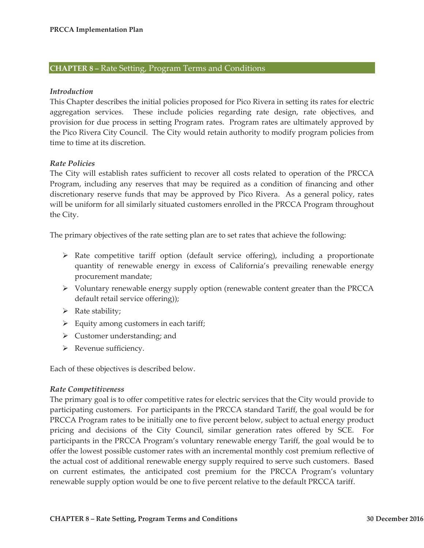#### **CHAPTER 8 –** Rate Setting, Program Terms and Conditions

#### *Introduction*

This Chapter describes the initial policies proposed for Pico Rivera in setting its rates for electric aggregation services. These include policies regarding rate design, rate objectives, and provision for due process in setting Program rates. Program rates are ultimately approved by the Pico Rivera City Council. The City would retain authority to modify program policies from time to time at its discretion.

#### *Rate Policies*

The City will establish rates sufficient to recover all costs related to operation of the PRCCA Program, including any reserves that may be required as a condition of financing and other discretionary reserve funds that may be approved by Pico Rivera. As a general policy, rates will be uniform for all similarly situated customers enrolled in the PRCCA Program throughout the City.

The primary objectives of the rate setting plan are to set rates that achieve the following:

- $\triangleright$  Rate competitive tariff option (default service offering), including a proportionate quantity of renewable energy in excess of California's prevailing renewable energy procurement mandate;
- ¾ Voluntary renewable energy supply option (renewable content greater than the PRCCA default retail service offering));
- $\triangleright$  Rate stability;
- $\triangleright$  Equity among customers in each tariff;
- $\triangleright$  Customer understanding; and
- $\triangleright$  Revenue sufficiency.

Each of these objectives is described below.

#### *Rate Competitiveness*

The primary goal is to offer competitive rates for electric services that the City would provide to participating customers. For participants in the PRCCA standard Tariff, the goal would be for PRCCA Program rates to be initially one to five percent below, subject to actual energy product pricing and decisions of the City Council, similar generation rates offered by SCE. For participants in the PRCCA Program's voluntary renewable energy Tariff, the goal would be to offer the lowest possible customer rates with an incremental monthly cost premium reflective of the actual cost of additional renewable energy supply required to serve such customers. Based on current estimates, the anticipated cost premium for the PRCCA Program's voluntary renewable supply option would be one to five percent relative to the default PRCCA tariff.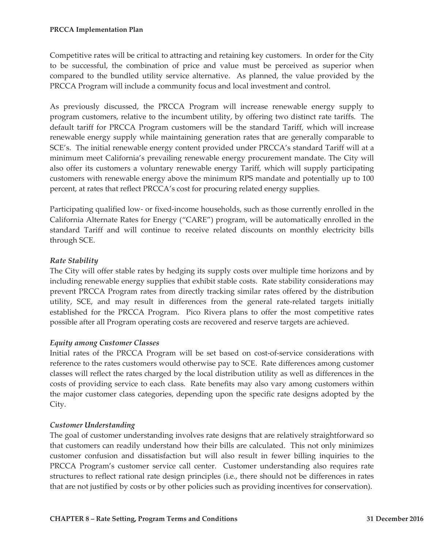Competitive rates will be critical to attracting and retaining key customers. In order for the City to be successful, the combination of price and value must be perceived as superior when compared to the bundled utility service alternative. As planned, the value provided by the PRCCA Program will include a community focus and local investment and control.

As previously discussed, the PRCCA Program will increase renewable energy supply to program customers, relative to the incumbent utility, by offering two distinct rate tariffs. The default tariff for PRCCA Program customers will be the standard Tariff, which will increase renewable energy supply while maintaining generation rates that are generally comparable to SCE's. The initial renewable energy content provided under PRCCA's standard Tariff will at a minimum meet California's prevailing renewable energy procurement mandate. The City will also offer its customers a voluntary renewable energy Tariff, which will supply participating customers with renewable energy above the minimum RPS mandate and potentially up to 100 percent, at rates that reflect PRCCA's cost for procuring related energy supplies.

Participating qualified low- or fixed-income households, such as those currently enrolled in the California Alternate Rates for Energy ("CARE") program, will be automatically enrolled in the standard Tariff and will continue to receive related discounts on monthly electricity bills through SCE.

# *Rate Stability*

The City will offer stable rates by hedging its supply costs over multiple time horizons and by including renewable energy supplies that exhibit stable costs. Rate stability considerations may prevent PRCCA Program rates from directly tracking similar rates offered by the distribution utility, SCE, and may result in differences from the general rate-related targets initially established for the PRCCA Program. Pico Rivera plans to offer the most competitive rates possible after all Program operating costs are recovered and reserve targets are achieved.

#### *Equity among Customer Classes*

Initial rates of the PRCCA Program will be set based on cost-of-service considerations with reference to the rates customers would otherwise pay to SCE. Rate differences among customer classes will reflect the rates charged by the local distribution utility as well as differences in the costs of providing service to each class. Rate benefits may also vary among customers within the major customer class categories, depending upon the specific rate designs adopted by the City.

#### *Customer Understanding*

The goal of customer understanding involves rate designs that are relatively straightforward so that customers can readily understand how their bills are calculated. This not only minimizes customer confusion and dissatisfaction but will also result in fewer billing inquiries to the PRCCA Program's customer service call center. Customer understanding also requires rate structures to reflect rational rate design principles (i.e., there should not be differences in rates that are not justified by costs or by other policies such as providing incentives for conservation).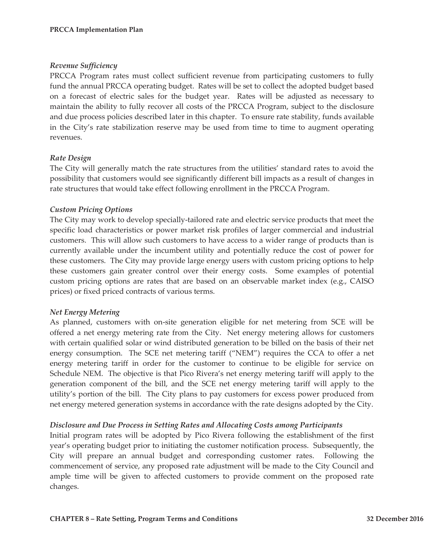#### *Revenue Sufficiency*

PRCCA Program rates must collect sufficient revenue from participating customers to fully fund the annual PRCCA operating budget. Rates will be set to collect the adopted budget based on a forecast of electric sales for the budget year. Rates will be adjusted as necessary to maintain the ability to fully recover all costs of the PRCCA Program, subject to the disclosure and due process policies described later in this chapter. To ensure rate stability, funds available in the City's rate stabilization reserve may be used from time to time to augment operating revenues.

# *Rate Design*

The City will generally match the rate structures from the utilities' standard rates to avoid the possibility that customers would see significantly different bill impacts as a result of changes in rate structures that would take effect following enrollment in the PRCCA Program.

# *Custom Pricing Options*

The City may work to develop specially-tailored rate and electric service products that meet the specific load characteristics or power market risk profiles of larger commercial and industrial customers. This will allow such customers to have access to a wider range of products than is currently available under the incumbent utility and potentially reduce the cost of power for these customers. The City may provide large energy users with custom pricing options to help these customers gain greater control over their energy costs. Some examples of potential custom pricing options are rates that are based on an observable market index (e.g., CAISO prices) or fixed priced contracts of various terms.

#### *Net Energy Metering*

As planned, customers with on-site generation eligible for net metering from SCE will be offered a net energy metering rate from the City. Net energy metering allows for customers with certain qualified solar or wind distributed generation to be billed on the basis of their net energy consumption. The SCE net metering tariff ("NEM") requires the CCA to offer a net energy metering tariff in order for the customer to continue to be eligible for service on Schedule NEM. The objective is that Pico Rivera's net energy metering tariff will apply to the generation component of the bill, and the SCE net energy metering tariff will apply to the utility's portion of the bill. The City plans to pay customers for excess power produced from net energy metered generation systems in accordance with the rate designs adopted by the City.

#### *Disclosure and Due Process in Setting Rates and Allocating Costs among Participants*

Initial program rates will be adopted by Pico Rivera following the establishment of the first year's operating budget prior to initiating the customer notification process. Subsequently, the City will prepare an annual budget and corresponding customer rates. Following the commencement of service, any proposed rate adjustment will be made to the City Council and ample time will be given to affected customers to provide comment on the proposed rate changes.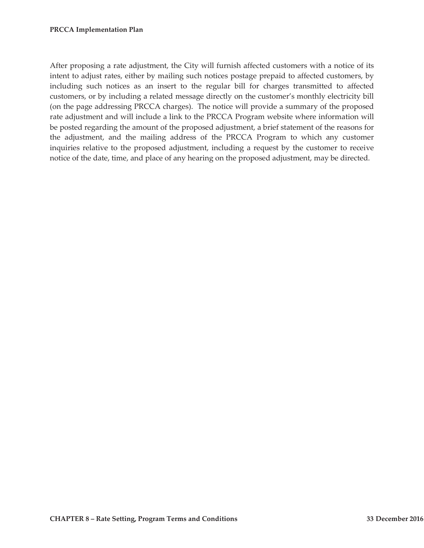After proposing a rate adjustment, the City will furnish affected customers with a notice of its intent to adjust rates, either by mailing such notices postage prepaid to affected customers, by including such notices as an insert to the regular bill for charges transmitted to affected customers, or by including a related message directly on the customer's monthly electricity bill (on the page addressing PRCCA charges). The notice will provide a summary of the proposed rate adjustment and will include a link to the PRCCA Program website where information will be posted regarding the amount of the proposed adjustment, a brief statement of the reasons for the adjustment, and the mailing address of the PRCCA Program to which any customer inquiries relative to the proposed adjustment, including a request by the customer to receive notice of the date, time, and place of any hearing on the proposed adjustment, may be directed.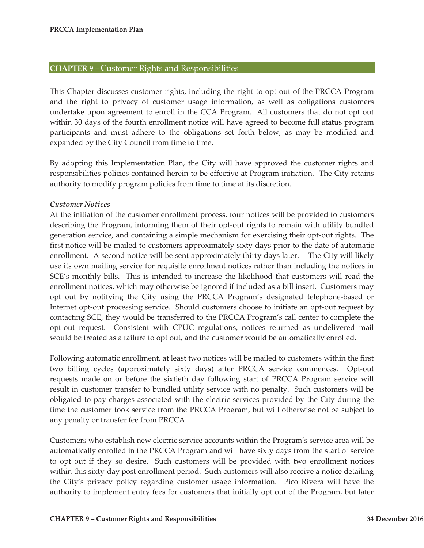#### **CHAPTER 9 –** Customer Rights and Responsibilities

This Chapter discusses customer rights, including the right to opt-out of the PRCCA Program and the right to privacy of customer usage information, as well as obligations customers undertake upon agreement to enroll in the CCA Program. All customers that do not opt out within 30 days of the fourth enrollment notice will have agreed to become full status program participants and must adhere to the obligations set forth below, as may be modified and expanded by the City Council from time to time.

By adopting this Implementation Plan, the City will have approved the customer rights and responsibilities policies contained herein to be effective at Program initiation. The City retains authority to modify program policies from time to time at its discretion.

#### *Customer Notices*

At the initiation of the customer enrollment process, four notices will be provided to customers describing the Program, informing them of their opt-out rights to remain with utility bundled generation service, and containing a simple mechanism for exercising their opt-out rights. The first notice will be mailed to customers approximately sixty days prior to the date of automatic enrollment. A second notice will be sent approximately thirty days later. The City will likely use its own mailing service for requisite enrollment notices rather than including the notices in SCE's monthly bills. This is intended to increase the likelihood that customers will read the enrollment notices, which may otherwise be ignored if included as a bill insert. Customers may opt out by notifying the City using the PRCCA Program's designated telephone-based or Internet opt-out processing service. Should customers choose to initiate an opt-out request by contacting SCE, they would be transferred to the PRCCA Program's call center to complete the opt-out request. Consistent with CPUC regulations, notices returned as undelivered mail would be treated as a failure to opt out, and the customer would be automatically enrolled.

Following automatic enrollment, at least two notices will be mailed to customers within the first two billing cycles (approximately sixty days) after PRCCA service commences. Opt-out requests made on or before the sixtieth day following start of PRCCA Program service will result in customer transfer to bundled utility service with no penalty. Such customers will be obligated to pay charges associated with the electric services provided by the City during the time the customer took service from the PRCCA Program, but will otherwise not be subject to any penalty or transfer fee from PRCCA.

Customers who establish new electric service accounts within the Program's service area will be automatically enrolled in the PRCCA Program and will have sixty days from the start of service to opt out if they so desire. Such customers will be provided with two enrollment notices within this sixty-day post enrollment period. Such customers will also receive a notice detailing the City's privacy policy regarding customer usage information. Pico Rivera will have the authority to implement entry fees for customers that initially opt out of the Program, but later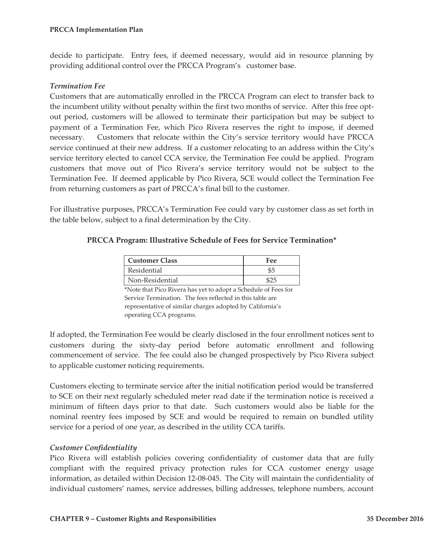decide to participate. Entry fees, if deemed necessary, would aid in resource planning by providing additional control over the PRCCA Program's customer base.

#### *Termination Fee*

Customers that are automatically enrolled in the PRCCA Program can elect to transfer back to the incumbent utility without penalty within the first two months of service. After this free optout period, customers will be allowed to terminate their participation but may be subject to payment of a Termination Fee, which Pico Rivera reserves the right to impose, if deemed necessary. Customers that relocate within the City's service territory would have PRCCA service continued at their new address. If a customer relocating to an address within the City's service territory elected to cancel CCA service, the Termination Fee could be applied. Program customers that move out of Pico Rivera's service territory would not be subject to the Termination Fee. If deemed applicable by Pico Rivera, SCE would collect the Termination Fee from returning customers as part of PRCCA's final bill to the customer.

For illustrative purposes, PRCCA's Termination Fee could vary by customer class as set forth in the table below, subject to a final determination by the City.

#### **PRCCA Program: Illustrative Schedule of Fees for Service Termination\***

| Customer Class  | Fee |
|-----------------|-----|
| Residential     | \$5 |
| Non-Residential |     |

\*Note that Pico Rivera has yet to adopt a Schedule of Fees for Service Termination. The fees reflected in this table are representative of similar charges adopted by California's operating CCA programs.

If adopted, the Termination Fee would be clearly disclosed in the four enrollment notices sent to customers during the sixty-day period before automatic enrollment and following commencement of service. The fee could also be changed prospectively by Pico Rivera subject to applicable customer noticing requirements.

Customers electing to terminate service after the initial notification period would be transferred to SCE on their next regularly scheduled meter read date if the termination notice is received a minimum of fifteen days prior to that date. Such customers would also be liable for the nominal reentry fees imposed by SCE and would be required to remain on bundled utility service for a period of one year, as described in the utility CCA tariffs.

#### *Customer Confidentiality*

Pico Rivera will establish policies covering confidentiality of customer data that are fully compliant with the required privacy protection rules for CCA customer energy usage information, as detailed within Decision 12-08-045. The City will maintain the confidentiality of individual customers' names, service addresses, billing addresses, telephone numbers, account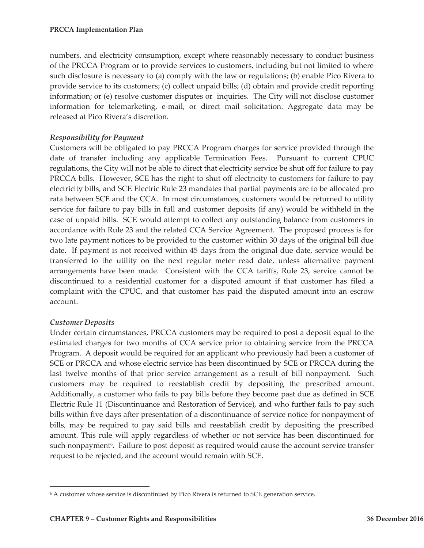numbers, and electricity consumption, except where reasonably necessary to conduct business of the PRCCA Program or to provide services to customers, including but not limited to where such disclosure is necessary to (a) comply with the law or regulations; (b) enable Pico Rivera to provide service to its customers; (c) collect unpaid bills; (d) obtain and provide credit reporting information; or (e) resolve customer disputes or inquiries. The City will not disclose customer information for telemarketing, e-mail, or direct mail solicitation. Aggregate data may be released at Pico Rivera's discretion.

#### *Responsibility for Payment*

Customers will be obligated to pay PRCCA Program charges for service provided through the date of transfer including any applicable Termination Fees. Pursuant to current CPUC regulations, the City will not be able to direct that electricity service be shut off for failure to pay PRCCA bills. However, SCE has the right to shut off electricity to customers for failure to pay electricity bills, and SCE Electric Rule 23 mandates that partial payments are to be allocated pro rata between SCE and the CCA. In most circumstances, customers would be returned to utility service for failure to pay bills in full and customer deposits (if any) would be withheld in the case of unpaid bills. SCE would attempt to collect any outstanding balance from customers in accordance with Rule 23 and the related CCA Service Agreement. The proposed process is for two late payment notices to be provided to the customer within 30 days of the original bill due date. If payment is not received within 45 days from the original due date, service would be transferred to the utility on the next regular meter read date, unless alternative payment arrangements have been made. Consistent with the CCA tariffs, Rule 23, service cannot be discontinued to a residential customer for a disputed amount if that customer has filed a complaint with the CPUC, and that customer has paid the disputed amount into an escrow account.

#### *Customer Deposits*

 $\overline{a}$ 

Under certain circumstances, PRCCA customers may be required to post a deposit equal to the estimated charges for two months of CCA service prior to obtaining service from the PRCCA Program. A deposit would be required for an applicant who previously had been a customer of SCE or PRCCA and whose electric service has been discontinued by SCE or PRCCA during the last twelve months of that prior service arrangement as a result of bill nonpayment. Such customers may be required to reestablish credit by depositing the prescribed amount. Additionally, a customer who fails to pay bills before they become past due as defined in SCE Electric Rule 11 (Discontinuance and Restoration of Service), and who further fails to pay such bills within five days after presentation of a discontinuance of service notice for nonpayment of bills, may be required to pay said bills and reestablish credit by depositing the prescribed amount. This rule will apply regardless of whether or not service has been discontinued for such nonpayment<sup>6</sup>. Failure to post deposit as required would cause the account service transfer request to be rejected, and the account would remain with SCE.

<sup>6</sup> A customer whose service is discontinued by Pico Rivera is returned to SCE generation service.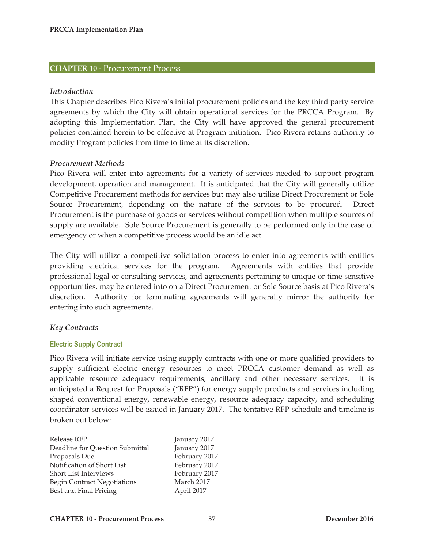# **CHAPTER 10 -** Procurement Process

#### *Introduction*

This Chapter describes Pico Rivera's initial procurement policies and the key third party service agreements by which the City will obtain operational services for the PRCCA Program. By adopting this Implementation Plan, the City will have approved the general procurement policies contained herein to be effective at Program initiation. Pico Rivera retains authority to modify Program policies from time to time at its discretion.

#### *Procurement Methods*

Pico Rivera will enter into agreements for a variety of services needed to support program development, operation and management. It is anticipated that the City will generally utilize Competitive Procurement methods for services but may also utilize Direct Procurement or Sole Source Procurement, depending on the nature of the services to be procured. Direct Procurement is the purchase of goods or services without competition when multiple sources of supply are available. Sole Source Procurement is generally to be performed only in the case of emergency or when a competitive process would be an idle act.

The City will utilize a competitive solicitation process to enter into agreements with entities providing electrical services for the program. Agreements with entities that provide professional legal or consulting services, and agreements pertaining to unique or time sensitive opportunities, may be entered into on a Direct Procurement or Sole Source basis at Pico Rivera's discretion. Authority for terminating agreements will generally mirror the authority for entering into such agreements.

#### *Key Contracts*

#### **Electric Supply Contract**

Pico Rivera will initiate service using supply contracts with one or more qualified providers to supply sufficient electric energy resources to meet PRCCA customer demand as well as applicable resource adequacy requirements, ancillary and other necessary services. It is anticipated a Request for Proposals ("RFP") for energy supply products and services including shaped conventional energy, renewable energy, resource adequacy capacity, and scheduling coordinator services will be issued in January 2017. The tentative RFP schedule and timeline is broken out below:

| Release RFP                        | January 2017  |
|------------------------------------|---------------|
| Deadline for Question Submittal    | January 2017  |
| Proposals Due                      | February 2017 |
| Notification of Short List         | February 2017 |
| <b>Short List Interviews</b>       | February 2017 |
| <b>Begin Contract Negotiations</b> | March 2017    |
| Best and Final Pricing             | April 2017    |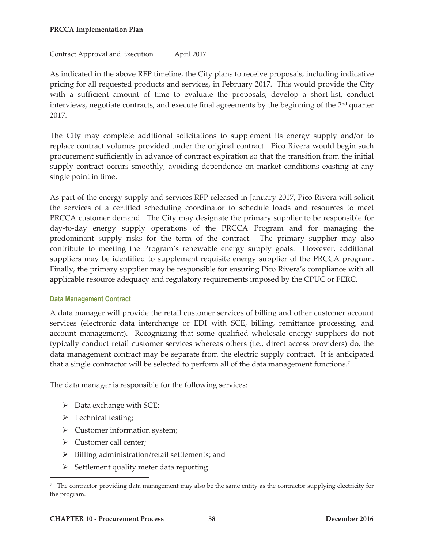#### Contract Approval and Execution April 2017

As indicated in the above RFP timeline, the City plans to receive proposals, including indicative pricing for all requested products and services, in February 2017. This would provide the City with a sufficient amount of time to evaluate the proposals, develop a short-list, conduct interviews, negotiate contracts, and execute final agreements by the beginning of the  $2<sup>nd</sup>$  quarter 2017.

The City may complete additional solicitations to supplement its energy supply and/or to replace contract volumes provided under the original contract. Pico Rivera would begin such procurement sufficiently in advance of contract expiration so that the transition from the initial supply contract occurs smoothly, avoiding dependence on market conditions existing at any single point in time.

As part of the energy supply and services RFP released in January 2017, Pico Rivera will solicit the services of a certified scheduling coordinator to schedule loads and resources to meet PRCCA customer demand. The City may designate the primary supplier to be responsible for day-to-day energy supply operations of the PRCCA Program and for managing the predominant supply risks for the term of the contract. The primary supplier may also contribute to meeting the Program's renewable energy supply goals. However, additional suppliers may be identified to supplement requisite energy supplier of the PRCCA program. Finally, the primary supplier may be responsible for ensuring Pico Rivera's compliance with all applicable resource adequacy and regulatory requirements imposed by the CPUC or FERC.

# **Data Management Contract**

A data manager will provide the retail customer services of billing and other customer account services (electronic data interchange or EDI with SCE, billing, remittance processing, and account management). Recognizing that some qualified wholesale energy suppliers do not typically conduct retail customer services whereas others (i.e., direct access providers) do, the data management contract may be separate from the electric supply contract. It is anticipated that a single contractor will be selected to perform all of the data management functions.7

The data manager is responsible for the following services:

- $\triangleright$  Data exchange with SCE;
- $\triangleright$  Technical testing;

 $\overline{a}$ 

- $\triangleright$  Customer information system;
- ¾ Customer call center;
- $\triangleright$  Billing administration/retail settlements; and
- $\triangleright$  Settlement quality meter data reporting

<sup>7</sup> The contractor providing data management may also be the same entity as the contractor supplying electricity for the program.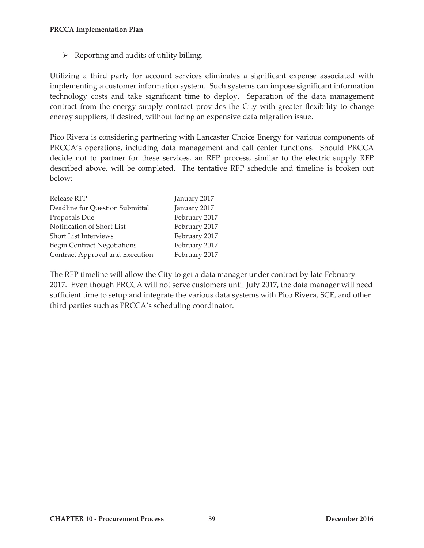$\triangleright$  Reporting and audits of utility billing.

Utilizing a third party for account services eliminates a significant expense associated with implementing a customer information system. Such systems can impose significant information technology costs and take significant time to deploy. Separation of the data management contract from the energy supply contract provides the City with greater flexibility to change energy suppliers, if desired, without facing an expensive data migration issue.

Pico Rivera is considering partnering with Lancaster Choice Energy for various components of PRCCA's operations, including data management and call center functions. Should PRCCA decide not to partner for these services, an RFP process, similar to the electric supply RFP described above, will be completed. The tentative RFP schedule and timeline is broken out below:

| Release RFP                        | January 2017  |
|------------------------------------|---------------|
| Deadline for Question Submittal    | January 2017  |
| Proposals Due                      | February 2017 |
| Notification of Short List         | February 2017 |
| <b>Short List Interviews</b>       | February 2017 |
| <b>Begin Contract Negotiations</b> | February 2017 |
| Contract Approval and Execution    | February 2017 |
|                                    |               |

The RFP timeline will allow the City to get a data manager under contract by late February 2017. Even though PRCCA will not serve customers until July 2017, the data manager will need sufficient time to setup and integrate the various data systems with Pico Rivera, SCE, and other third parties such as PRCCA's scheduling coordinator.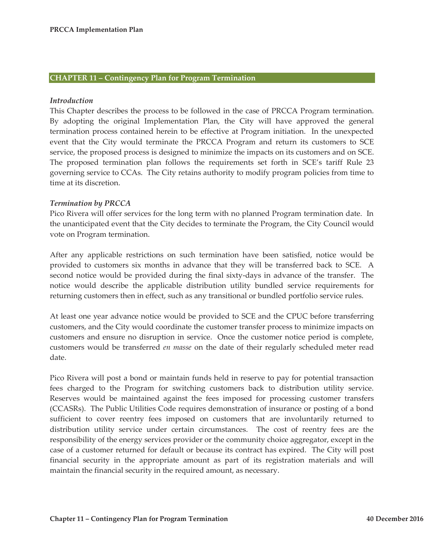#### **CHAPTER 11 – Contingency Plan for Program Termination**

#### *Introduction*

This Chapter describes the process to be followed in the case of PRCCA Program termination. By adopting the original Implementation Plan, the City will have approved the general termination process contained herein to be effective at Program initiation. In the unexpected event that the City would terminate the PRCCA Program and return its customers to SCE service, the proposed process is designed to minimize the impacts on its customers and on SCE. The proposed termination plan follows the requirements set forth in SCE's tariff Rule 23 governing service to CCAs. The City retains authority to modify program policies from time to time at its discretion.

#### *Termination by PRCCA*

Pico Rivera will offer services for the long term with no planned Program termination date. In the unanticipated event that the City decides to terminate the Program, the City Council would vote on Program termination.

After any applicable restrictions on such termination have been satisfied, notice would be provided to customers six months in advance that they will be transferred back to SCE. A second notice would be provided during the final sixty-days in advance of the transfer. The notice would describe the applicable distribution utility bundled service requirements for returning customers then in effect, such as any transitional or bundled portfolio service rules.

At least one year advance notice would be provided to SCE and the CPUC before transferring customers, and the City would coordinate the customer transfer process to minimize impacts on customers and ensure no disruption in service. Once the customer notice period is complete, customers would be transferred *en masse* on the date of their regularly scheduled meter read date.

Pico Rivera will post a bond or maintain funds held in reserve to pay for potential transaction fees charged to the Program for switching customers back to distribution utility service. Reserves would be maintained against the fees imposed for processing customer transfers (CCASRs). The Public Utilities Code requires demonstration of insurance or posting of a bond sufficient to cover reentry fees imposed on customers that are involuntarily returned to distribution utility service under certain circumstances. The cost of reentry fees are the responsibility of the energy services provider or the community choice aggregator, except in the case of a customer returned for default or because its contract has expired. The City will post financial security in the appropriate amount as part of its registration materials and will maintain the financial security in the required amount, as necessary.